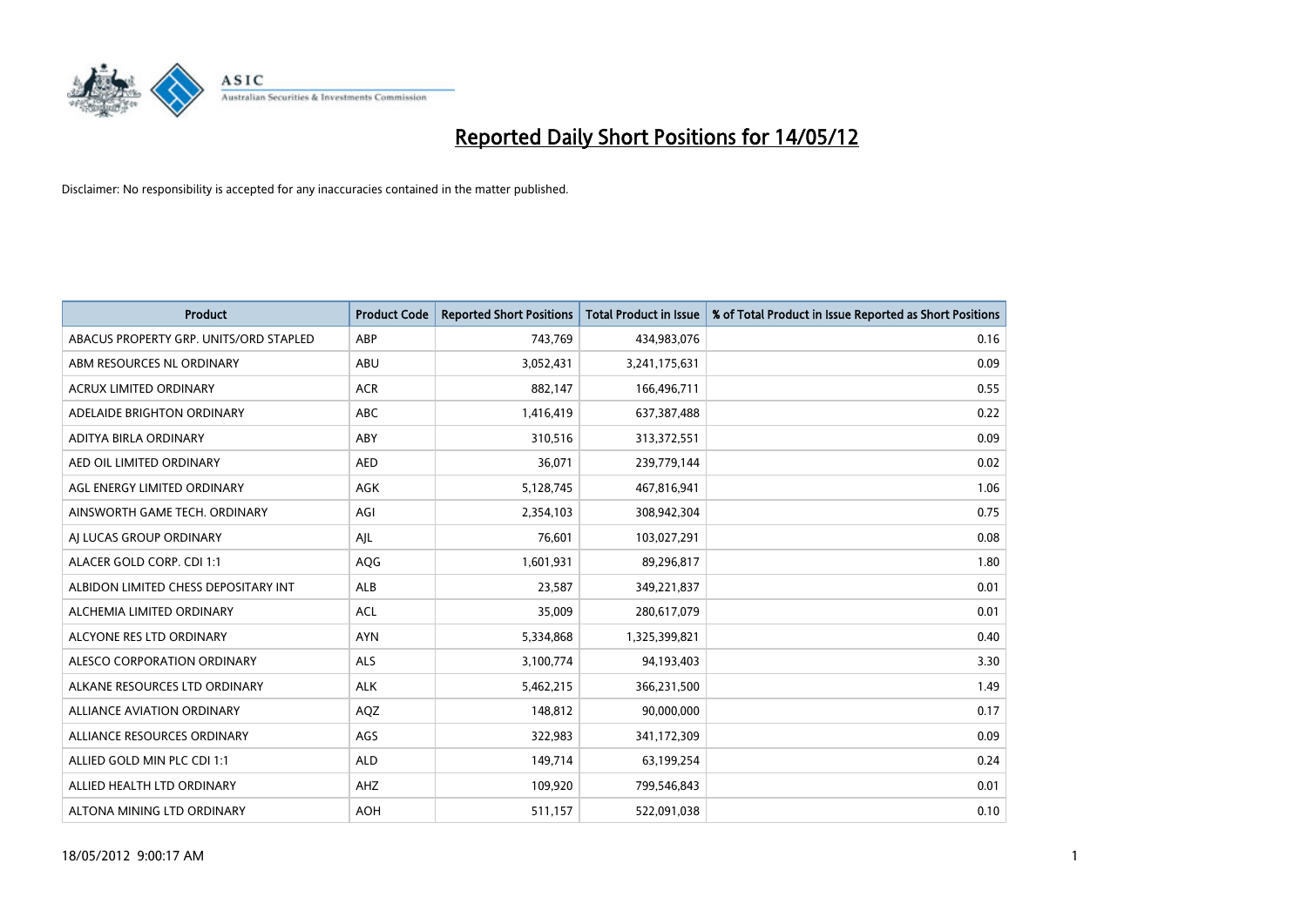

| <b>Product</b>                         | <b>Product Code</b> | <b>Reported Short Positions</b> | <b>Total Product in Issue</b> | % of Total Product in Issue Reported as Short Positions |
|----------------------------------------|---------------------|---------------------------------|-------------------------------|---------------------------------------------------------|
| ABACUS PROPERTY GRP. UNITS/ORD STAPLED | ABP                 | 743,769                         | 434,983,076                   | 0.16                                                    |
| ABM RESOURCES NL ORDINARY              | ABU                 | 3,052,431                       | 3,241,175,631                 | 0.09                                                    |
| <b>ACRUX LIMITED ORDINARY</b>          | <b>ACR</b>          | 882,147                         | 166,496,711                   | 0.55                                                    |
| ADELAIDE BRIGHTON ORDINARY             | <b>ABC</b>          | 1,416,419                       | 637,387,488                   | 0.22                                                    |
| ADITYA BIRLA ORDINARY                  | ABY                 | 310,516                         | 313,372,551                   | 0.09                                                    |
| AED OIL LIMITED ORDINARY               | <b>AED</b>          | 36,071                          | 239,779,144                   | 0.02                                                    |
| AGL ENERGY LIMITED ORDINARY            | AGK                 | 5,128,745                       | 467,816,941                   | 1.06                                                    |
| AINSWORTH GAME TECH. ORDINARY          | AGI                 | 2,354,103                       | 308,942,304                   | 0.75                                                    |
| AI LUCAS GROUP ORDINARY                | AJL                 | 76,601                          | 103,027,291                   | 0.08                                                    |
| ALACER GOLD CORP. CDI 1:1              | AQG                 | 1,601,931                       | 89,296,817                    | 1.80                                                    |
| ALBIDON LIMITED CHESS DEPOSITARY INT   | ALB                 | 23,587                          | 349,221,837                   | 0.01                                                    |
| ALCHEMIA LIMITED ORDINARY              | <b>ACL</b>          | 35,009                          | 280,617,079                   | 0.01                                                    |
| ALCYONE RES LTD ORDINARY               | <b>AYN</b>          | 5,334,868                       | 1,325,399,821                 | 0.40                                                    |
| ALESCO CORPORATION ORDINARY            | ALS                 | 3,100,774                       | 94,193,403                    | 3.30                                                    |
| ALKANE RESOURCES LTD ORDINARY          | <b>ALK</b>          | 5,462,215                       | 366,231,500                   | 1.49                                                    |
| ALLIANCE AVIATION ORDINARY             | AQZ                 | 148,812                         | 90,000,000                    | 0.17                                                    |
| ALLIANCE RESOURCES ORDINARY            | AGS                 | 322,983                         | 341,172,309                   | 0.09                                                    |
| ALLIED GOLD MIN PLC CDI 1:1            | <b>ALD</b>          | 149,714                         | 63,199,254                    | 0.24                                                    |
| ALLIED HEALTH LTD ORDINARY             | AHZ                 | 109,920                         | 799,546,843                   | 0.01                                                    |
| ALTONA MINING LTD ORDINARY             | <b>AOH</b>          | 511,157                         | 522,091,038                   | 0.10                                                    |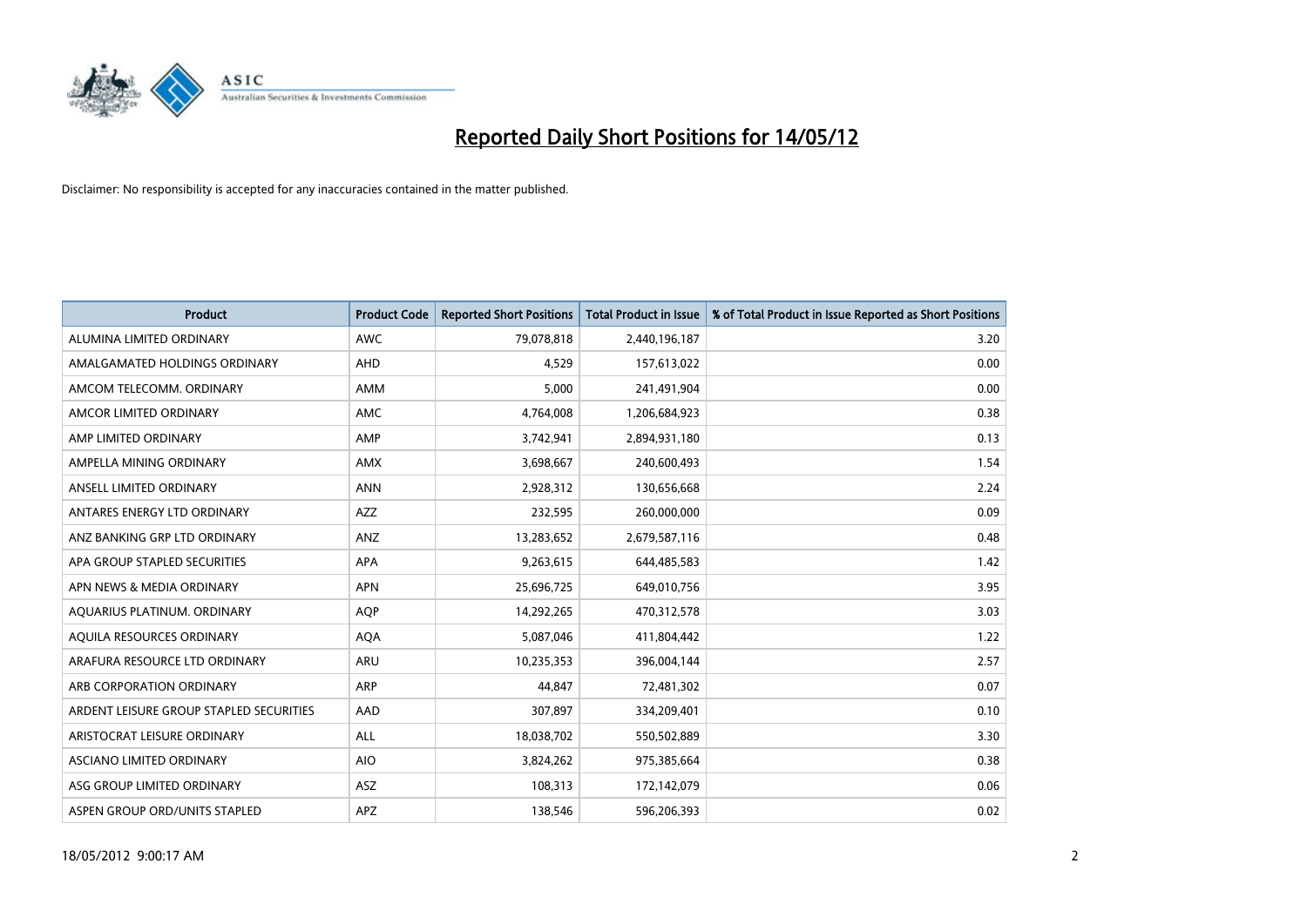

| <b>Product</b>                          | <b>Product Code</b> | <b>Reported Short Positions</b> | <b>Total Product in Issue</b> | % of Total Product in Issue Reported as Short Positions |
|-----------------------------------------|---------------------|---------------------------------|-------------------------------|---------------------------------------------------------|
| ALUMINA LIMITED ORDINARY                | <b>AWC</b>          | 79,078,818                      | 2,440,196,187                 | 3.20                                                    |
| AMALGAMATED HOLDINGS ORDINARY           | AHD                 | 4,529                           | 157,613,022                   | 0.00                                                    |
| AMCOM TELECOMM, ORDINARY                | AMM                 | 5,000                           | 241,491,904                   | 0.00                                                    |
| AMCOR LIMITED ORDINARY                  | AMC                 | 4,764,008                       | 1,206,684,923                 | 0.38                                                    |
| AMP LIMITED ORDINARY                    | AMP                 | 3,742,941                       | 2,894,931,180                 | 0.13                                                    |
| AMPELLA MINING ORDINARY                 | <b>AMX</b>          | 3,698,667                       | 240,600,493                   | 1.54                                                    |
| ANSELL LIMITED ORDINARY                 | <b>ANN</b>          | 2,928,312                       | 130,656,668                   | 2.24                                                    |
| ANTARES ENERGY LTD ORDINARY             | AZZ                 | 232,595                         | 260,000,000                   | 0.09                                                    |
| ANZ BANKING GRP LTD ORDINARY            | ANZ                 | 13,283,652                      | 2,679,587,116                 | 0.48                                                    |
| APA GROUP STAPLED SECURITIES            | <b>APA</b>          | 9,263,615                       | 644,485,583                   | 1.42                                                    |
| APN NEWS & MEDIA ORDINARY               | <b>APN</b>          | 25,696,725                      | 649,010,756                   | 3.95                                                    |
| AQUARIUS PLATINUM. ORDINARY             | AQP                 | 14,292,265                      | 470,312,578                   | 3.03                                                    |
| AQUILA RESOURCES ORDINARY               | <b>AQA</b>          | 5,087,046                       | 411,804,442                   | 1.22                                                    |
| ARAFURA RESOURCE LTD ORDINARY           | ARU                 | 10,235,353                      | 396,004,144                   | 2.57                                                    |
| ARB CORPORATION ORDINARY                | <b>ARP</b>          | 44,847                          | 72,481,302                    | 0.07                                                    |
| ARDENT LEISURE GROUP STAPLED SECURITIES | AAD                 | 307,897                         | 334,209,401                   | 0.10                                                    |
| ARISTOCRAT LEISURE ORDINARY             | ALL                 | 18,038,702                      | 550,502,889                   | 3.30                                                    |
| ASCIANO LIMITED ORDINARY                | <b>AIO</b>          | 3,824,262                       | 975,385,664                   | 0.38                                                    |
| ASG GROUP LIMITED ORDINARY              | ASZ                 | 108,313                         | 172,142,079                   | 0.06                                                    |
| ASPEN GROUP ORD/UNITS STAPLED           | APZ                 | 138,546                         | 596,206,393                   | 0.02                                                    |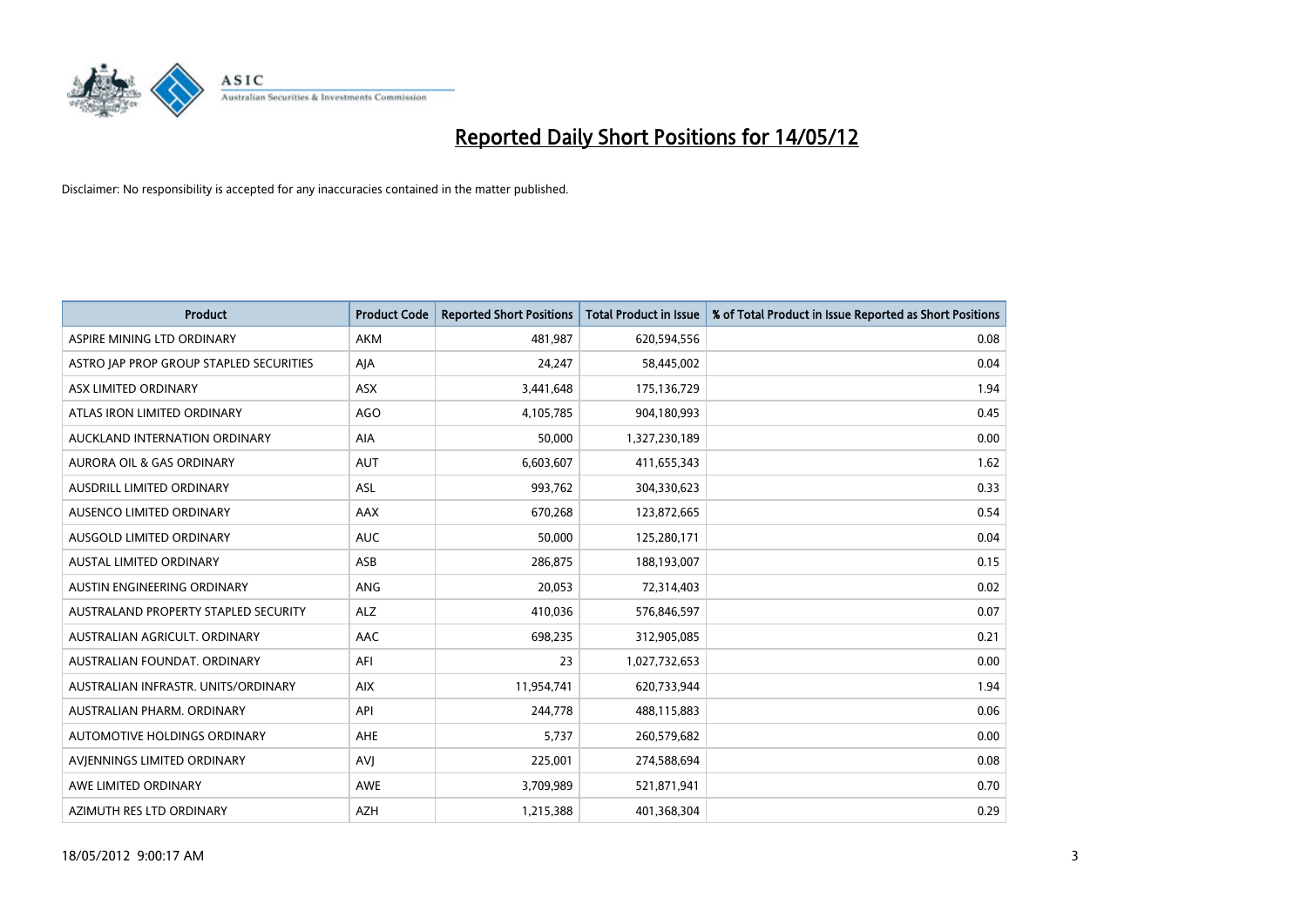

| <b>Product</b>                          | <b>Product Code</b> | <b>Reported Short Positions</b> | <b>Total Product in Issue</b> | % of Total Product in Issue Reported as Short Positions |
|-----------------------------------------|---------------------|---------------------------------|-------------------------------|---------------------------------------------------------|
| ASPIRE MINING LTD ORDINARY              | <b>AKM</b>          | 481,987                         | 620,594,556                   | 0.08                                                    |
| ASTRO JAP PROP GROUP STAPLED SECURITIES | AJA                 | 24,247                          | 58,445,002                    | 0.04                                                    |
| ASX LIMITED ORDINARY                    | <b>ASX</b>          | 3,441,648                       | 175,136,729                   | 1.94                                                    |
| ATLAS IRON LIMITED ORDINARY             | AGO                 | 4,105,785                       | 904,180,993                   | 0.45                                                    |
| AUCKLAND INTERNATION ORDINARY           | AIA                 | 50,000                          | 1,327,230,189                 | 0.00                                                    |
| <b>AURORA OIL &amp; GAS ORDINARY</b>    | <b>AUT</b>          | 6,603,607                       | 411,655,343                   | 1.62                                                    |
| AUSDRILL LIMITED ORDINARY               | ASL                 | 993,762                         | 304,330,623                   | 0.33                                                    |
| AUSENCO LIMITED ORDINARY                | AAX                 | 670,268                         | 123,872,665                   | 0.54                                                    |
| AUSGOLD LIMITED ORDINARY                | <b>AUC</b>          | 50.000                          | 125,280,171                   | 0.04                                                    |
| <b>AUSTAL LIMITED ORDINARY</b>          | ASB                 | 286,875                         | 188,193,007                   | 0.15                                                    |
| AUSTIN ENGINEERING ORDINARY             | ANG                 | 20,053                          | 72,314,403                    | 0.02                                                    |
| AUSTRALAND PROPERTY STAPLED SECURITY    | <b>ALZ</b>          | 410,036                         | 576,846,597                   | 0.07                                                    |
| AUSTRALIAN AGRICULT. ORDINARY           | AAC                 | 698,235                         | 312,905,085                   | 0.21                                                    |
| AUSTRALIAN FOUNDAT, ORDINARY            | AFI                 | 23                              | 1,027,732,653                 | 0.00                                                    |
| AUSTRALIAN INFRASTR, UNITS/ORDINARY     | <b>AIX</b>          | 11,954,741                      | 620,733,944                   | 1.94                                                    |
| AUSTRALIAN PHARM. ORDINARY              | API                 | 244,778                         | 488,115,883                   | 0.06                                                    |
| AUTOMOTIVE HOLDINGS ORDINARY            | AHE                 | 5,737                           | 260,579,682                   | 0.00                                                    |
| AVIENNINGS LIMITED ORDINARY             | <b>AVJ</b>          | 225,001                         | 274,588,694                   | 0.08                                                    |
| AWE LIMITED ORDINARY                    | <b>AWE</b>          | 3,709,989                       | 521,871,941                   | 0.70                                                    |
| AZIMUTH RES LTD ORDINARY                | <b>AZH</b>          | 1,215,388                       | 401,368,304                   | 0.29                                                    |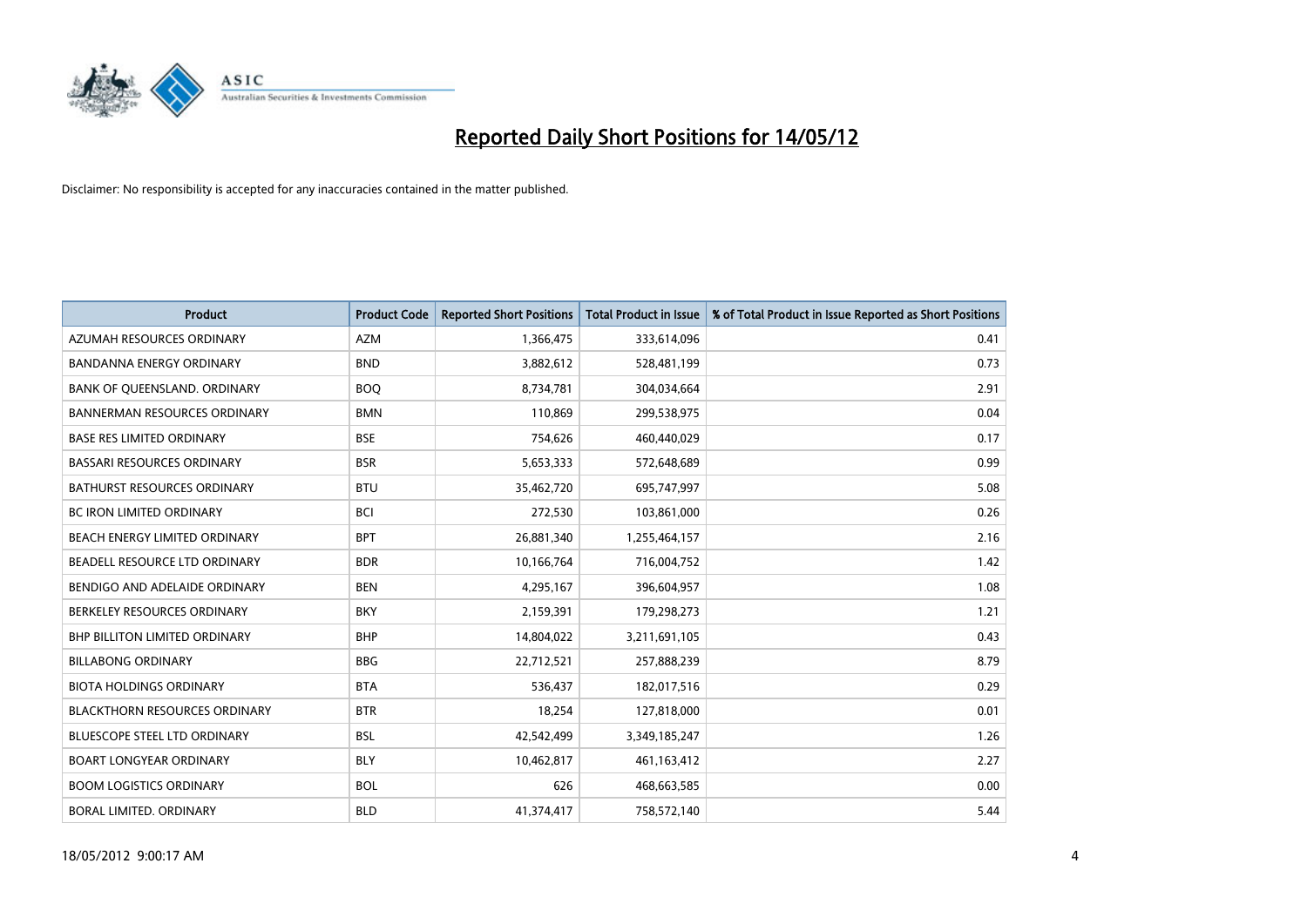

| <b>Product</b>                       | <b>Product Code</b> | <b>Reported Short Positions</b> | <b>Total Product in Issue</b> | % of Total Product in Issue Reported as Short Positions |
|--------------------------------------|---------------------|---------------------------------|-------------------------------|---------------------------------------------------------|
| AZUMAH RESOURCES ORDINARY            | <b>AZM</b>          | 1,366,475                       | 333,614,096                   | 0.41                                                    |
| BANDANNA ENERGY ORDINARY             | <b>BND</b>          | 3,882,612                       | 528,481,199                   | 0.73                                                    |
| BANK OF QUEENSLAND. ORDINARY         | <b>BOQ</b>          | 8,734,781                       | 304,034,664                   | 2.91                                                    |
| <b>BANNERMAN RESOURCES ORDINARY</b>  | <b>BMN</b>          | 110,869                         | 299,538,975                   | 0.04                                                    |
| <b>BASE RES LIMITED ORDINARY</b>     | <b>BSE</b>          | 754,626                         | 460,440,029                   | 0.17                                                    |
| <b>BASSARI RESOURCES ORDINARY</b>    | <b>BSR</b>          | 5,653,333                       | 572,648,689                   | 0.99                                                    |
| <b>BATHURST RESOURCES ORDINARY</b>   | <b>BTU</b>          | 35,462,720                      | 695,747,997                   | 5.08                                                    |
| BC IRON LIMITED ORDINARY             | <b>BCI</b>          | 272,530                         | 103,861,000                   | 0.26                                                    |
| BEACH ENERGY LIMITED ORDINARY        | <b>BPT</b>          | 26,881,340                      | 1,255,464,157                 | 2.16                                                    |
| <b>BEADELL RESOURCE LTD ORDINARY</b> | <b>BDR</b>          | 10,166,764                      | 716,004,752                   | 1.42                                                    |
| BENDIGO AND ADELAIDE ORDINARY        | <b>BEN</b>          | 4,295,167                       | 396,604,957                   | 1.08                                                    |
| BERKELEY RESOURCES ORDINARY          | <b>BKY</b>          | 2,159,391                       | 179,298,273                   | 1.21                                                    |
| <b>BHP BILLITON LIMITED ORDINARY</b> | <b>BHP</b>          | 14,804,022                      | 3,211,691,105                 | 0.43                                                    |
| <b>BILLABONG ORDINARY</b>            | <b>BBG</b>          | 22,712,521                      | 257,888,239                   | 8.79                                                    |
| <b>BIOTA HOLDINGS ORDINARY</b>       | <b>BTA</b>          | 536,437                         | 182,017,516                   | 0.29                                                    |
| <b>BLACKTHORN RESOURCES ORDINARY</b> | <b>BTR</b>          | 18,254                          | 127,818,000                   | 0.01                                                    |
| BLUESCOPE STEEL LTD ORDINARY         | <b>BSL</b>          | 42,542,499                      | 3,349,185,247                 | 1.26                                                    |
| <b>BOART LONGYEAR ORDINARY</b>       | <b>BLY</b>          | 10,462,817                      | 461,163,412                   | 2.27                                                    |
| <b>BOOM LOGISTICS ORDINARY</b>       | <b>BOL</b>          | 626                             | 468,663,585                   | 0.00                                                    |
| BORAL LIMITED, ORDINARY              | <b>BLD</b>          | 41,374,417                      | 758,572,140                   | 5.44                                                    |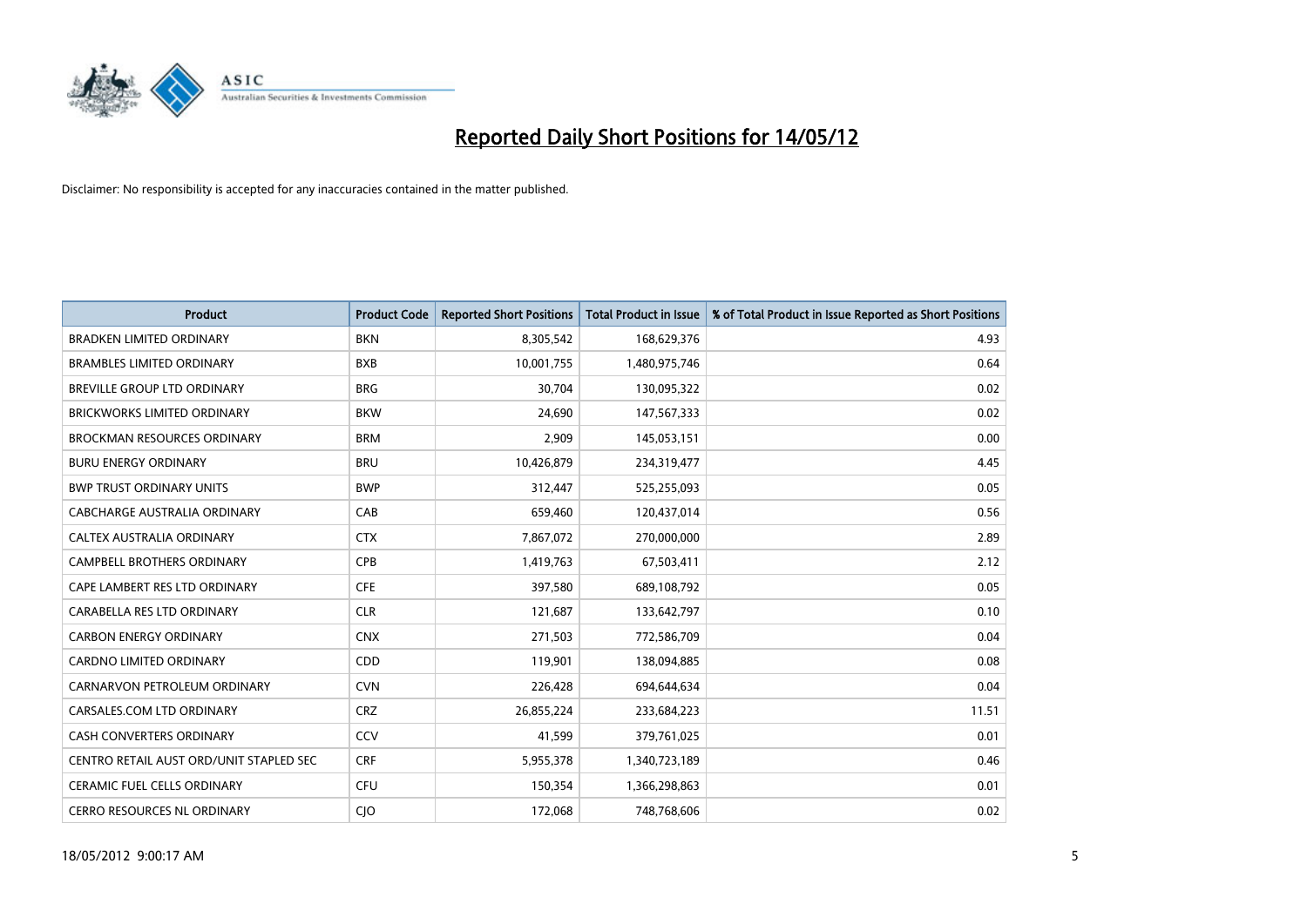

| <b>Product</b>                          | <b>Product Code</b> | <b>Reported Short Positions</b> | <b>Total Product in Issue</b> | % of Total Product in Issue Reported as Short Positions |
|-----------------------------------------|---------------------|---------------------------------|-------------------------------|---------------------------------------------------------|
| <b>BRADKEN LIMITED ORDINARY</b>         | <b>BKN</b>          | 8,305,542                       | 168,629,376                   | 4.93                                                    |
| <b>BRAMBLES LIMITED ORDINARY</b>        | <b>BXB</b>          | 10,001,755                      | 1,480,975,746                 | 0.64                                                    |
| BREVILLE GROUP LTD ORDINARY             | <b>BRG</b>          | 30,704                          | 130,095,322                   | 0.02                                                    |
| <b>BRICKWORKS LIMITED ORDINARY</b>      | <b>BKW</b>          | 24,690                          | 147,567,333                   | 0.02                                                    |
| <b>BROCKMAN RESOURCES ORDINARY</b>      | <b>BRM</b>          | 2,909                           | 145,053,151                   | 0.00                                                    |
| <b>BURU ENERGY ORDINARY</b>             | <b>BRU</b>          | 10,426,879                      | 234,319,477                   | 4.45                                                    |
| <b>BWP TRUST ORDINARY UNITS</b>         | <b>BWP</b>          | 312,447                         | 525,255,093                   | 0.05                                                    |
| CABCHARGE AUSTRALIA ORDINARY            | CAB                 | 659,460                         | 120,437,014                   | 0.56                                                    |
| CALTEX AUSTRALIA ORDINARY               | <b>CTX</b>          | 7,867,072                       | 270,000,000                   | 2.89                                                    |
| <b>CAMPBELL BROTHERS ORDINARY</b>       | <b>CPB</b>          | 1,419,763                       | 67,503,411                    | 2.12                                                    |
| CAPE LAMBERT RES LTD ORDINARY           | <b>CFE</b>          | 397,580                         | 689,108,792                   | 0.05                                                    |
| CARABELLA RES LTD ORDINARY              | <b>CLR</b>          | 121,687                         | 133,642,797                   | 0.10                                                    |
| <b>CARBON ENERGY ORDINARY</b>           | <b>CNX</b>          | 271,503                         | 772,586,709                   | 0.04                                                    |
| <b>CARDNO LIMITED ORDINARY</b>          | CDD                 | 119,901                         | 138,094,885                   | 0.08                                                    |
| CARNARVON PETROLEUM ORDINARY            | <b>CVN</b>          | 226,428                         | 694,644,634                   | 0.04                                                    |
| CARSALES.COM LTD ORDINARY               | <b>CRZ</b>          | 26,855,224                      | 233,684,223                   | 11.51                                                   |
| CASH CONVERTERS ORDINARY                | CCV                 | 41,599                          | 379,761,025                   | 0.01                                                    |
| CENTRO RETAIL AUST ORD/UNIT STAPLED SEC | <b>CRF</b>          | 5,955,378                       | 1,340,723,189                 | 0.46                                                    |
| <b>CERAMIC FUEL CELLS ORDINARY</b>      | <b>CFU</b>          | 150,354                         | 1,366,298,863                 | 0.01                                                    |
| CERRO RESOURCES NL ORDINARY             | CJO                 | 172,068                         | 748,768,606                   | 0.02                                                    |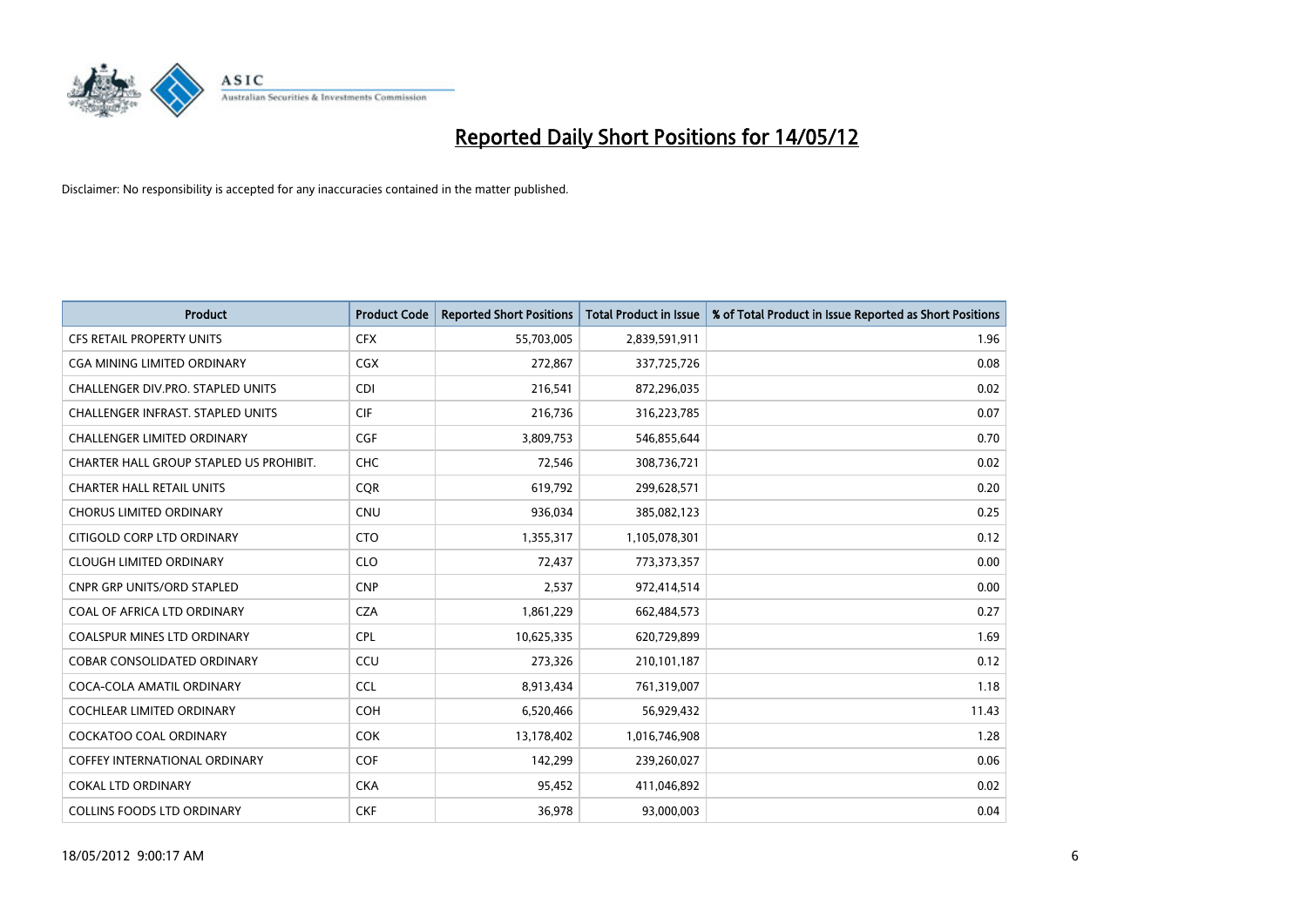

| <b>Product</b>                           | <b>Product Code</b> | <b>Reported Short Positions</b> | <b>Total Product in Issue</b> | % of Total Product in Issue Reported as Short Positions |
|------------------------------------------|---------------------|---------------------------------|-------------------------------|---------------------------------------------------------|
| <b>CFS RETAIL PROPERTY UNITS</b>         | <b>CFX</b>          | 55,703,005                      | 2,839,591,911                 | 1.96                                                    |
| <b>CGA MINING LIMITED ORDINARY</b>       | <b>CGX</b>          | 272,867                         | 337,725,726                   | 0.08                                                    |
| CHALLENGER DIV.PRO. STAPLED UNITS        | <b>CDI</b>          | 216,541                         | 872,296,035                   | 0.02                                                    |
| <b>CHALLENGER INFRAST, STAPLED UNITS</b> | <b>CIF</b>          | 216,736                         | 316,223,785                   | 0.07                                                    |
| <b>CHALLENGER LIMITED ORDINARY</b>       | <b>CGF</b>          | 3,809,753                       | 546,855,644                   | 0.70                                                    |
| CHARTER HALL GROUP STAPLED US PROHIBIT.  | <b>CHC</b>          | 72,546                          | 308,736,721                   | 0.02                                                    |
| <b>CHARTER HALL RETAIL UNITS</b>         | <b>COR</b>          | 619,792                         | 299,628,571                   | 0.20                                                    |
| <b>CHORUS LIMITED ORDINARY</b>           | <b>CNU</b>          | 936,034                         | 385,082,123                   | 0.25                                                    |
| CITIGOLD CORP LTD ORDINARY               | <b>CTO</b>          | 1,355,317                       | 1,105,078,301                 | 0.12                                                    |
| <b>CLOUGH LIMITED ORDINARY</b>           | <b>CLO</b>          | 72,437                          | 773,373,357                   | 0.00                                                    |
| CNPR GRP UNITS/ORD STAPLED               | <b>CNP</b>          | 2,537                           | 972,414,514                   | 0.00                                                    |
| COAL OF AFRICA LTD ORDINARY              | <b>CZA</b>          | 1,861,229                       | 662,484,573                   | 0.27                                                    |
| <b>COALSPUR MINES LTD ORDINARY</b>       | CPL                 | 10,625,335                      | 620,729,899                   | 1.69                                                    |
| <b>COBAR CONSOLIDATED ORDINARY</b>       | CCU                 | 273,326                         | 210,101,187                   | 0.12                                                    |
| COCA-COLA AMATIL ORDINARY                | <b>CCL</b>          | 8,913,434                       | 761,319,007                   | 1.18                                                    |
| COCHLEAR LIMITED ORDINARY                | <b>COH</b>          | 6,520,466                       | 56,929,432                    | 11.43                                                   |
| <b>COCKATOO COAL ORDINARY</b>            | <b>COK</b>          | 13,178,402                      | 1,016,746,908                 | 1.28                                                    |
| <b>COFFEY INTERNATIONAL ORDINARY</b>     | <b>COF</b>          | 142,299                         | 239,260,027                   | 0.06                                                    |
| <b>COKAL LTD ORDINARY</b>                | <b>CKA</b>          | 95,452                          | 411,046,892                   | 0.02                                                    |
| <b>COLLINS FOODS LTD ORDINARY</b>        | <b>CKF</b>          | 36,978                          | 93,000,003                    | 0.04                                                    |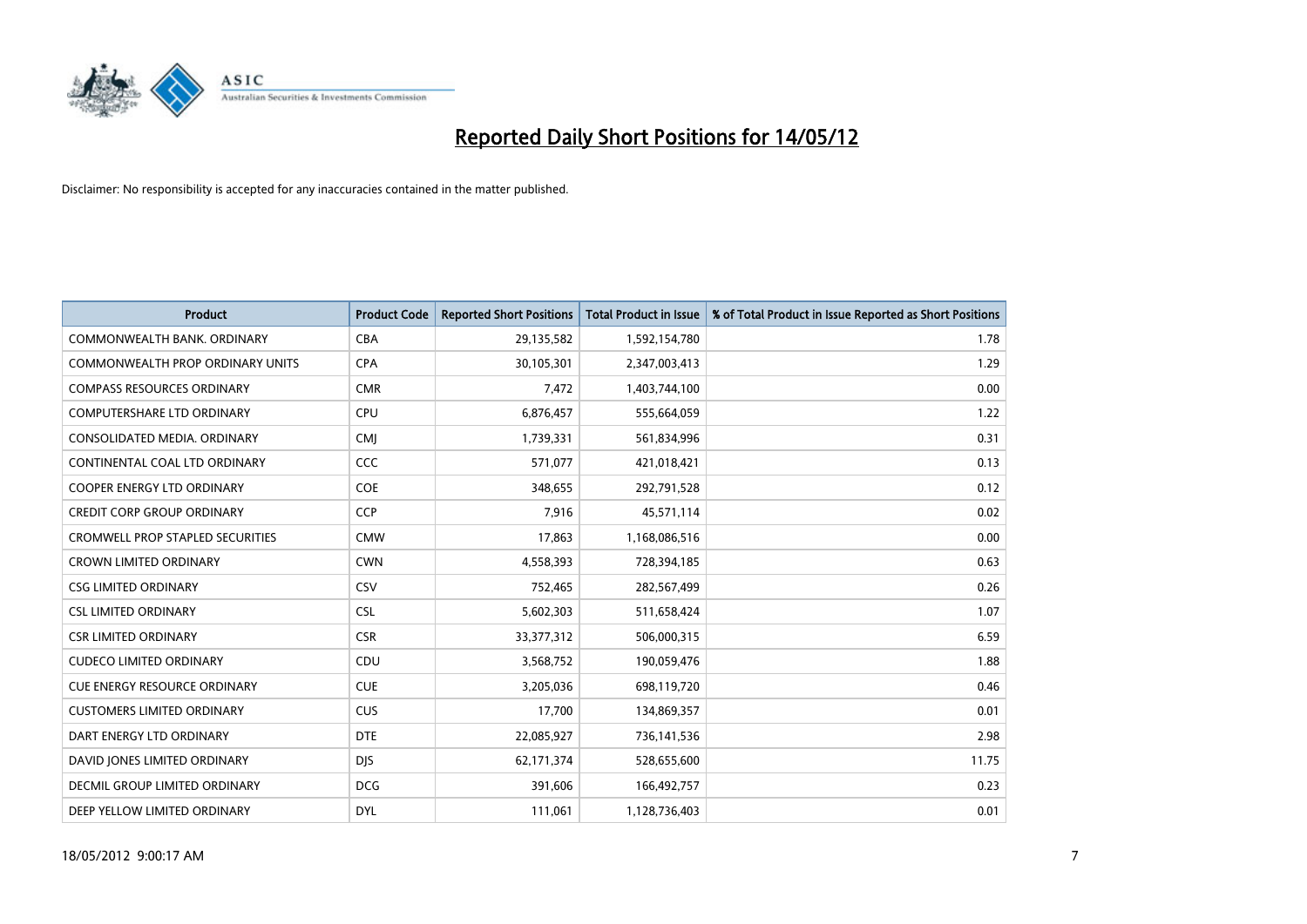

| <b>Product</b>                       | <b>Product Code</b> | <b>Reported Short Positions</b> | <b>Total Product in Issue</b> | % of Total Product in Issue Reported as Short Positions |
|--------------------------------------|---------------------|---------------------------------|-------------------------------|---------------------------------------------------------|
| COMMONWEALTH BANK, ORDINARY          | <b>CBA</b>          | 29,135,582                      | 1,592,154,780                 | 1.78                                                    |
| COMMONWEALTH PROP ORDINARY UNITS     | <b>CPA</b>          | 30,105,301                      | 2,347,003,413                 | 1.29                                                    |
| <b>COMPASS RESOURCES ORDINARY</b>    | <b>CMR</b>          | 7,472                           | 1,403,744,100                 | 0.00                                                    |
| <b>COMPUTERSHARE LTD ORDINARY</b>    | <b>CPU</b>          | 6,876,457                       | 555,664,059                   | 1.22                                                    |
| CONSOLIDATED MEDIA, ORDINARY         | <b>CMI</b>          | 1,739,331                       | 561,834,996                   | 0.31                                                    |
| CONTINENTAL COAL LTD ORDINARY        | CCC                 | 571,077                         | 421,018,421                   | 0.13                                                    |
| <b>COOPER ENERGY LTD ORDINARY</b>    | <b>COE</b>          | 348,655                         | 292,791,528                   | 0.12                                                    |
| <b>CREDIT CORP GROUP ORDINARY</b>    | <b>CCP</b>          | 7,916                           | 45,571,114                    | 0.02                                                    |
| CROMWELL PROP STAPLED SECURITIES     | <b>CMW</b>          | 17,863                          | 1,168,086,516                 | 0.00                                                    |
| <b>CROWN LIMITED ORDINARY</b>        | <b>CWN</b>          | 4,558,393                       | 728,394,185                   | 0.63                                                    |
| <b>CSG LIMITED ORDINARY</b>          | CSV                 | 752,465                         | 282,567,499                   | 0.26                                                    |
| <b>CSL LIMITED ORDINARY</b>          | <b>CSL</b>          | 5,602,303                       | 511,658,424                   | 1.07                                                    |
| <b>CSR LIMITED ORDINARY</b>          | <b>CSR</b>          | 33, 377, 312                    | 506,000,315                   | 6.59                                                    |
| <b>CUDECO LIMITED ORDINARY</b>       | CDU                 | 3,568,752                       | 190,059,476                   | 1.88                                                    |
| <b>CUE ENERGY RESOURCE ORDINARY</b>  | <b>CUE</b>          | 3,205,036                       | 698,119,720                   | 0.46                                                    |
| <b>CUSTOMERS LIMITED ORDINARY</b>    | <b>CUS</b>          | 17,700                          | 134,869,357                   | 0.01                                                    |
| DART ENERGY LTD ORDINARY             | <b>DTE</b>          | 22,085,927                      | 736, 141, 536                 | 2.98                                                    |
| DAVID JONES LIMITED ORDINARY         | <b>DJS</b>          | 62,171,374                      | 528,655,600                   | 11.75                                                   |
| <b>DECMIL GROUP LIMITED ORDINARY</b> | <b>DCG</b>          | 391,606                         | 166,492,757                   | 0.23                                                    |
| DEEP YELLOW LIMITED ORDINARY         | <b>DYL</b>          | 111,061                         | 1,128,736,403                 | 0.01                                                    |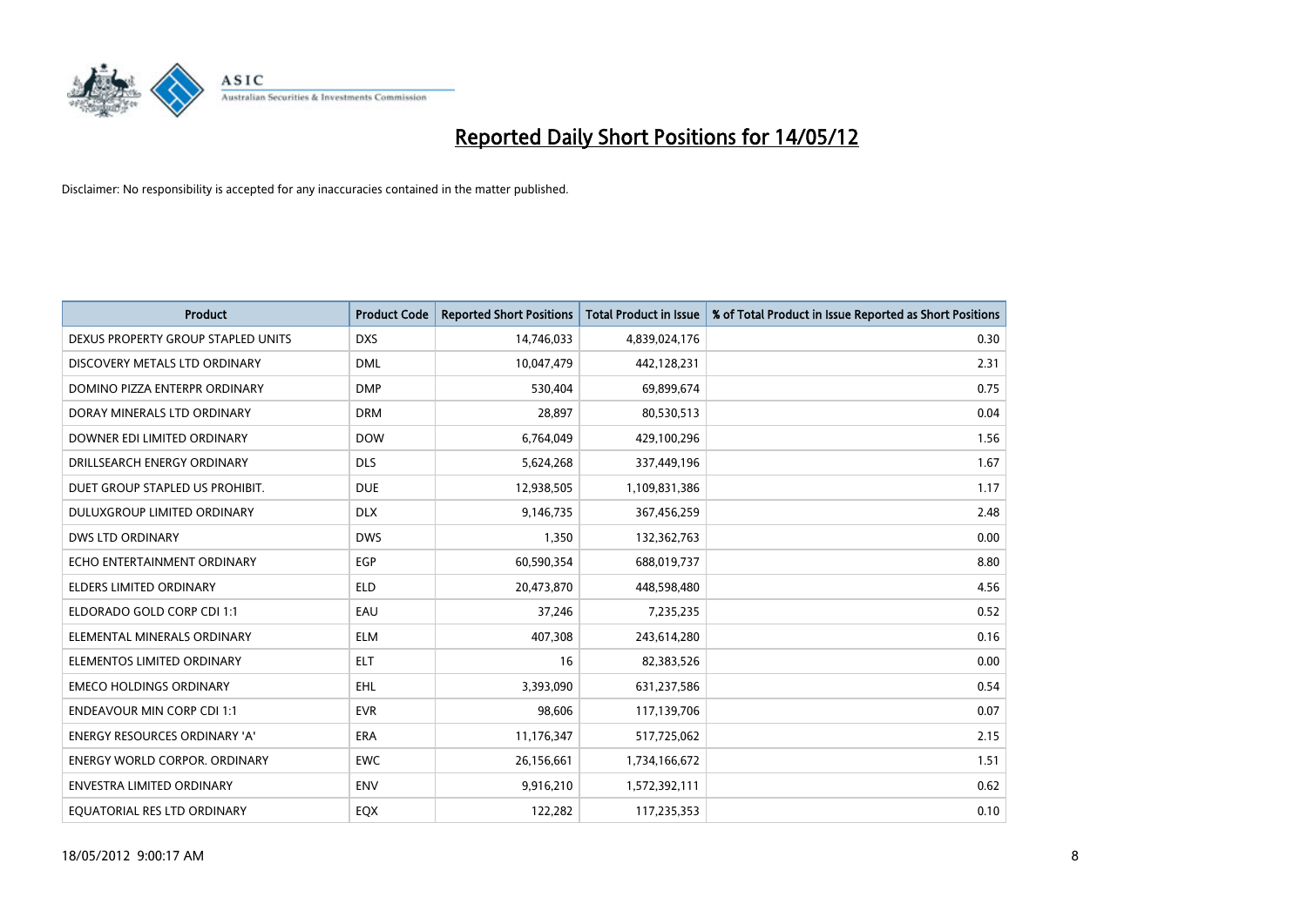

| <b>Product</b>                       | <b>Product Code</b> | <b>Reported Short Positions</b> | <b>Total Product in Issue</b> | % of Total Product in Issue Reported as Short Positions |
|--------------------------------------|---------------------|---------------------------------|-------------------------------|---------------------------------------------------------|
| DEXUS PROPERTY GROUP STAPLED UNITS   | <b>DXS</b>          | 14,746,033                      | 4,839,024,176                 | 0.30                                                    |
| DISCOVERY METALS LTD ORDINARY        | <b>DML</b>          | 10,047,479                      | 442,128,231                   | 2.31                                                    |
| DOMINO PIZZA ENTERPR ORDINARY        | <b>DMP</b>          | 530,404                         | 69,899,674                    | 0.75                                                    |
| DORAY MINERALS LTD ORDINARY          | <b>DRM</b>          | 28,897                          | 80,530,513                    | 0.04                                                    |
| DOWNER EDI LIMITED ORDINARY          | <b>DOW</b>          | 6,764,049                       | 429,100,296                   | 1.56                                                    |
| DRILLSEARCH ENERGY ORDINARY          | <b>DLS</b>          | 5,624,268                       | 337,449,196                   | 1.67                                                    |
| DUET GROUP STAPLED US PROHIBIT.      | <b>DUE</b>          | 12,938,505                      | 1,109,831,386                 | 1.17                                                    |
| DULUXGROUP LIMITED ORDINARY          | <b>DLX</b>          | 9,146,735                       | 367,456,259                   | 2.48                                                    |
| <b>DWS LTD ORDINARY</b>              | <b>DWS</b>          | 1,350                           | 132,362,763                   | 0.00                                                    |
| ECHO ENTERTAINMENT ORDINARY          | <b>EGP</b>          | 60,590,354                      | 688,019,737                   | 8.80                                                    |
| ELDERS LIMITED ORDINARY              | <b>ELD</b>          | 20,473,870                      | 448,598,480                   | 4.56                                                    |
| ELDORADO GOLD CORP CDI 1:1           | EAU                 | 37,246                          | 7,235,235                     | 0.52                                                    |
| ELEMENTAL MINERALS ORDINARY          | <b>ELM</b>          | 407,308                         | 243,614,280                   | 0.16                                                    |
| ELEMENTOS LIMITED ORDINARY           | <b>ELT</b>          | 16                              | 82,383,526                    | 0.00                                                    |
| <b>EMECO HOLDINGS ORDINARY</b>       | <b>EHL</b>          | 3,393,090                       | 631,237,586                   | 0.54                                                    |
| <b>ENDEAVOUR MIN CORP CDI 1:1</b>    | <b>EVR</b>          | 98,606                          | 117,139,706                   | 0.07                                                    |
| ENERGY RESOURCES ORDINARY 'A'        | ERA                 | 11,176,347                      | 517,725,062                   | 2.15                                                    |
| <b>ENERGY WORLD CORPOR, ORDINARY</b> | <b>EWC</b>          | 26,156,661                      | 1,734,166,672                 | 1.51                                                    |
| <b>ENVESTRA LIMITED ORDINARY</b>     | <b>ENV</b>          | 9,916,210                       | 1,572,392,111                 | 0.62                                                    |
| EQUATORIAL RES LTD ORDINARY          | EQX                 | 122,282                         | 117,235,353                   | 0.10                                                    |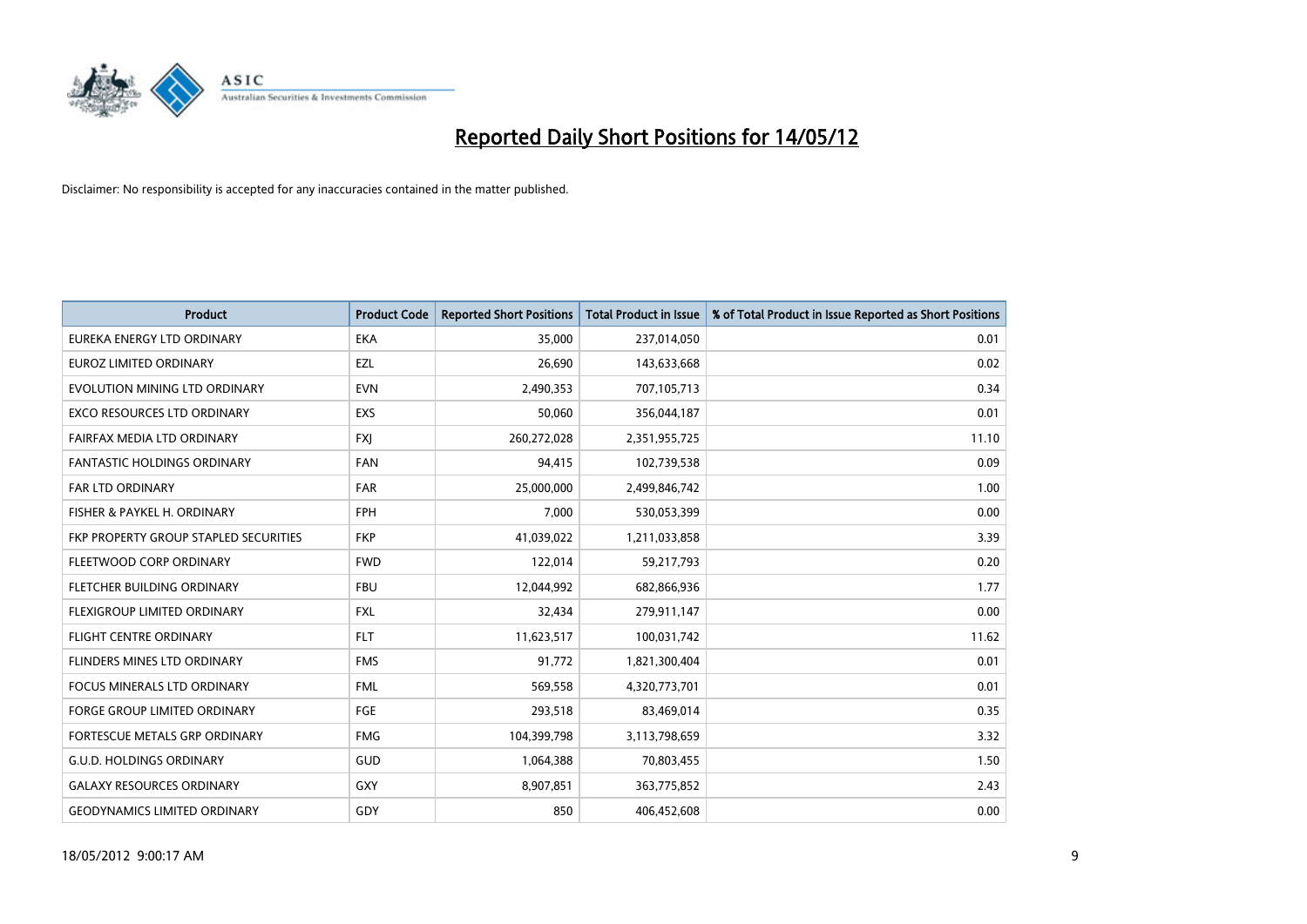

| <b>Product</b>                        | <b>Product Code</b> | <b>Reported Short Positions</b> | <b>Total Product in Issue</b> | % of Total Product in Issue Reported as Short Positions |
|---------------------------------------|---------------------|---------------------------------|-------------------------------|---------------------------------------------------------|
| EUREKA ENERGY LTD ORDINARY            | <b>EKA</b>          | 35,000                          | 237,014,050                   | 0.01                                                    |
| EUROZ LIMITED ORDINARY                | EZL                 | 26,690                          | 143,633,668                   | 0.02                                                    |
| EVOLUTION MINING LTD ORDINARY         | <b>EVN</b>          | 2,490,353                       | 707,105,713                   | 0.34                                                    |
| <b>EXCO RESOURCES LTD ORDINARY</b>    | <b>EXS</b>          | 50,060                          | 356,044,187                   | 0.01                                                    |
| FAIRFAX MEDIA LTD ORDINARY            | <b>FXI</b>          | 260,272,028                     | 2,351,955,725                 | 11.10                                                   |
| <b>FANTASTIC HOLDINGS ORDINARY</b>    | <b>FAN</b>          | 94,415                          | 102,739,538                   | 0.09                                                    |
| <b>FAR LTD ORDINARY</b>               | <b>FAR</b>          | 25,000,000                      | 2,499,846,742                 | 1.00                                                    |
| FISHER & PAYKEL H. ORDINARY           | <b>FPH</b>          | 7,000                           | 530,053,399                   | 0.00                                                    |
| FKP PROPERTY GROUP STAPLED SECURITIES | <b>FKP</b>          | 41,039,022                      | 1,211,033,858                 | 3.39                                                    |
| FLEETWOOD CORP ORDINARY               | <b>FWD</b>          | 122,014                         | 59,217,793                    | 0.20                                                    |
| FLETCHER BUILDING ORDINARY            | <b>FBU</b>          | 12,044,992                      | 682,866,936                   | 1.77                                                    |
| FLEXIGROUP LIMITED ORDINARY           | FXL                 | 32,434                          | 279,911,147                   | 0.00                                                    |
| <b>FLIGHT CENTRE ORDINARY</b>         | <b>FLT</b>          | 11,623,517                      | 100,031,742                   | 11.62                                                   |
| FLINDERS MINES LTD ORDINARY           | <b>FMS</b>          | 91,772                          | 1,821,300,404                 | 0.01                                                    |
| <b>FOCUS MINERALS LTD ORDINARY</b>    | <b>FML</b>          | 569,558                         | 4,320,773,701                 | 0.01                                                    |
| <b>FORGE GROUP LIMITED ORDINARY</b>   | FGE                 | 293,518                         | 83,469,014                    | 0.35                                                    |
| FORTESCUE METALS GRP ORDINARY         | <b>FMG</b>          | 104,399,798                     | 3,113,798,659                 | 3.32                                                    |
| <b>G.U.D. HOLDINGS ORDINARY</b>       | <b>GUD</b>          | 1,064,388                       | 70,803,455                    | 1.50                                                    |
| <b>GALAXY RESOURCES ORDINARY</b>      | GXY                 | 8,907,851                       | 363,775,852                   | 2.43                                                    |
| <b>GEODYNAMICS LIMITED ORDINARY</b>   | GDY                 | 850                             | 406,452,608                   | 0.00                                                    |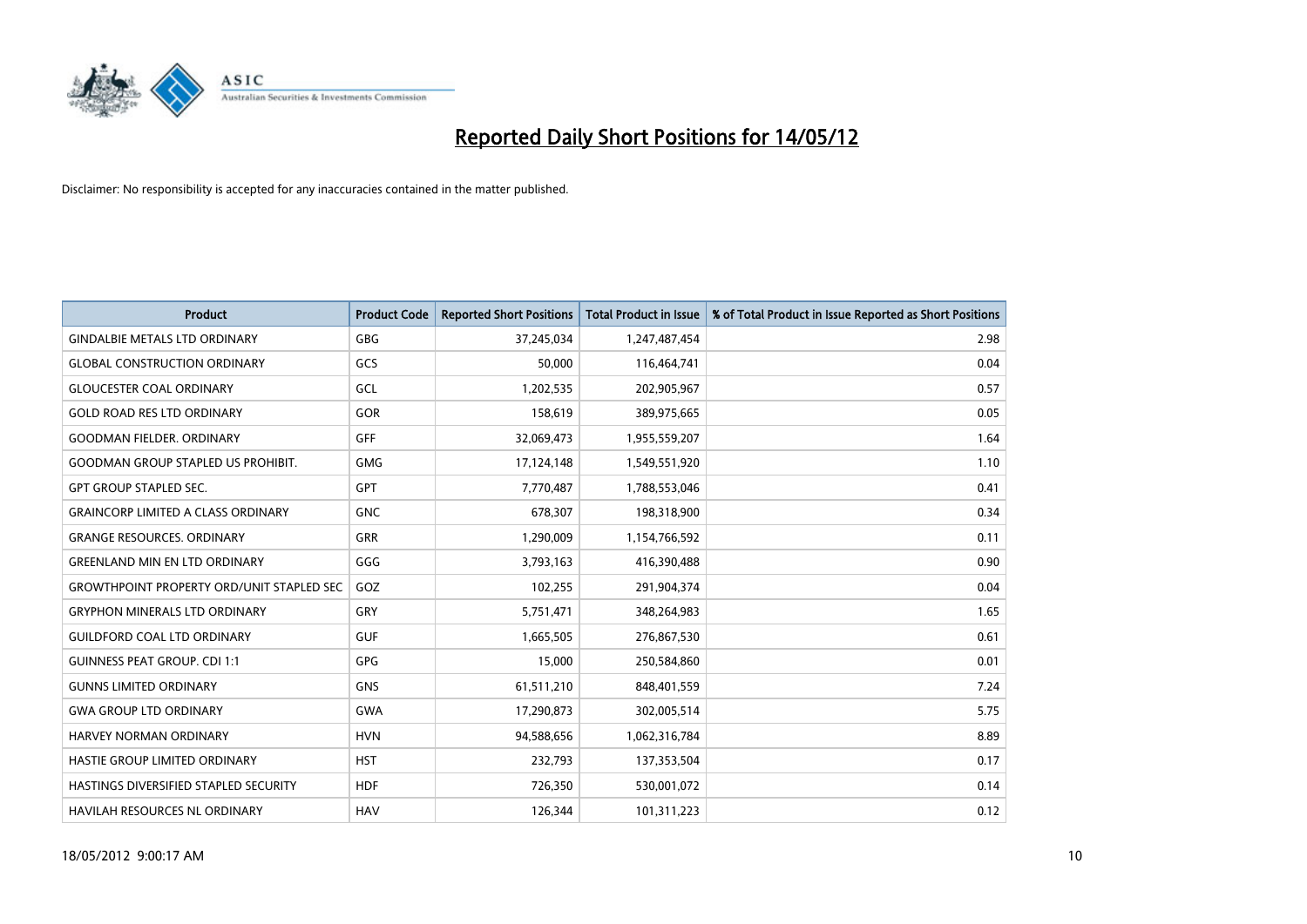

| <b>Product</b>                                   | <b>Product Code</b> | <b>Reported Short Positions</b> | <b>Total Product in Issue</b> | % of Total Product in Issue Reported as Short Positions |
|--------------------------------------------------|---------------------|---------------------------------|-------------------------------|---------------------------------------------------------|
| <b>GINDALBIE METALS LTD ORDINARY</b>             | GBG                 | 37,245,034                      | 1,247,487,454                 | 2.98                                                    |
| <b>GLOBAL CONSTRUCTION ORDINARY</b>              | GCS                 | 50,000                          | 116,464,741                   | 0.04                                                    |
| <b>GLOUCESTER COAL ORDINARY</b>                  | GCL                 | 1,202,535                       | 202,905,967                   | 0.57                                                    |
| <b>GOLD ROAD RES LTD ORDINARY</b>                | <b>GOR</b>          | 158,619                         | 389,975,665                   | 0.05                                                    |
| <b>GOODMAN FIELDER, ORDINARY</b>                 | <b>GFF</b>          | 32,069,473                      | 1,955,559,207                 | 1.64                                                    |
| <b>GOODMAN GROUP STAPLED US PROHIBIT.</b>        | <b>GMG</b>          | 17,124,148                      | 1,549,551,920                 | 1.10                                                    |
| <b>GPT GROUP STAPLED SEC.</b>                    | GPT                 | 7,770,487                       | 1,788,553,046                 | 0.41                                                    |
| <b>GRAINCORP LIMITED A CLASS ORDINARY</b>        | <b>GNC</b>          | 678,307                         | 198,318,900                   | 0.34                                                    |
| <b>GRANGE RESOURCES, ORDINARY</b>                | <b>GRR</b>          | 1,290,009                       | 1,154,766,592                 | 0.11                                                    |
| <b>GREENLAND MIN EN LTD ORDINARY</b>             | GGG                 | 3,793,163                       | 416,390,488                   | 0.90                                                    |
| <b>GROWTHPOINT PROPERTY ORD/UNIT STAPLED SEC</b> | GOZ                 | 102,255                         | 291,904,374                   | 0.04                                                    |
| <b>GRYPHON MINERALS LTD ORDINARY</b>             | GRY                 | 5,751,471                       | 348,264,983                   | 1.65                                                    |
| <b>GUILDFORD COAL LTD ORDINARY</b>               | <b>GUF</b>          | 1,665,505                       | 276,867,530                   | 0.61                                                    |
| <b>GUINNESS PEAT GROUP. CDI 1:1</b>              | <b>GPG</b>          | 15,000                          | 250,584,860                   | 0.01                                                    |
| <b>GUNNS LIMITED ORDINARY</b>                    | <b>GNS</b>          | 61,511,210                      | 848,401,559                   | 7.24                                                    |
| <b>GWA GROUP LTD ORDINARY</b>                    | GWA                 | 17,290,873                      | 302,005,514                   | 5.75                                                    |
| HARVEY NORMAN ORDINARY                           | <b>HVN</b>          | 94,588,656                      | 1,062,316,784                 | 8.89                                                    |
| HASTIE GROUP LIMITED ORDINARY                    | <b>HST</b>          | 232,793                         | 137,353,504                   | 0.17                                                    |
| HASTINGS DIVERSIFIED STAPLED SECURITY            | <b>HDF</b>          | 726,350                         | 530,001,072                   | 0.14                                                    |
| <b>HAVILAH RESOURCES NL ORDINARY</b>             | <b>HAV</b>          | 126,344                         | 101,311,223                   | 0.12                                                    |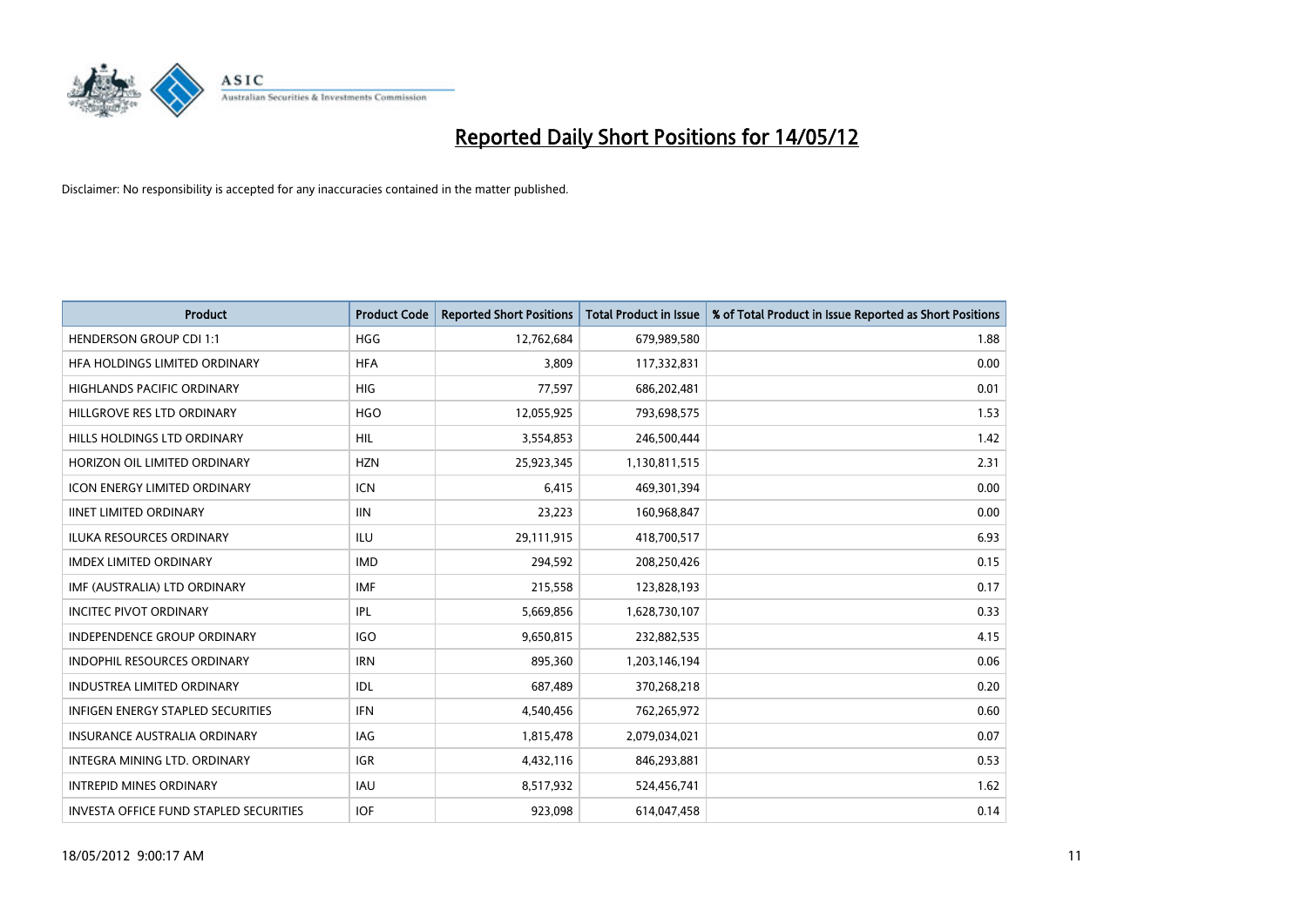

| <b>Product</b>                         | <b>Product Code</b> | <b>Reported Short Positions</b> | <b>Total Product in Issue</b> | % of Total Product in Issue Reported as Short Positions |
|----------------------------------------|---------------------|---------------------------------|-------------------------------|---------------------------------------------------------|
| <b>HENDERSON GROUP CDI 1:1</b>         | <b>HGG</b>          | 12,762,684                      | 679,989,580                   | 1.88                                                    |
| HFA HOLDINGS LIMITED ORDINARY          | <b>HFA</b>          | 3,809                           | 117,332,831                   | 0.00                                                    |
| <b>HIGHLANDS PACIFIC ORDINARY</b>      | <b>HIG</b>          | 77,597                          | 686,202,481                   | 0.01                                                    |
| HILLGROVE RES LTD ORDINARY             | <b>HGO</b>          | 12,055,925                      | 793,698,575                   | 1.53                                                    |
| HILLS HOLDINGS LTD ORDINARY            | HIL                 | 3,554,853                       | 246,500,444                   | 1.42                                                    |
| HORIZON OIL LIMITED ORDINARY           | <b>HZN</b>          | 25,923,345                      | 1,130,811,515                 | 2.31                                                    |
| <b>ICON ENERGY LIMITED ORDINARY</b>    | <b>ICN</b>          | 6,415                           | 469,301,394                   | 0.00                                                    |
| <b>IINET LIMITED ORDINARY</b>          | <b>IIN</b>          | 23,223                          | 160,968,847                   | 0.00                                                    |
| <b>ILUKA RESOURCES ORDINARY</b>        | <b>ILU</b>          | 29,111,915                      | 418,700,517                   | 6.93                                                    |
| <b>IMDEX LIMITED ORDINARY</b>          | <b>IMD</b>          | 294,592                         | 208,250,426                   | 0.15                                                    |
| IMF (AUSTRALIA) LTD ORDINARY           | <b>IMF</b>          | 215,558                         | 123,828,193                   | 0.17                                                    |
| <b>INCITEC PIVOT ORDINARY</b>          | IPL                 | 5,669,856                       | 1,628,730,107                 | 0.33                                                    |
| INDEPENDENCE GROUP ORDINARY            | <b>IGO</b>          | 9,650,815                       | 232,882,535                   | 4.15                                                    |
| <b>INDOPHIL RESOURCES ORDINARY</b>     | <b>IRN</b>          | 895,360                         | 1,203,146,194                 | 0.06                                                    |
| <b>INDUSTREA LIMITED ORDINARY</b>      | <b>IDL</b>          | 687,489                         | 370,268,218                   | 0.20                                                    |
| INFIGEN ENERGY STAPLED SECURITIES      | <b>IFN</b>          | 4,540,456                       | 762,265,972                   | 0.60                                                    |
| INSURANCE AUSTRALIA ORDINARY           | IAG                 | 1,815,478                       | 2,079,034,021                 | 0.07                                                    |
| INTEGRA MINING LTD. ORDINARY           | <b>IGR</b>          | 4,432,116                       | 846,293,881                   | 0.53                                                    |
| <b>INTREPID MINES ORDINARY</b>         | <b>IAU</b>          | 8,517,932                       | 524,456,741                   | 1.62                                                    |
| INVESTA OFFICE FUND STAPLED SECURITIES | <b>IOF</b>          | 923,098                         | 614,047,458                   | 0.14                                                    |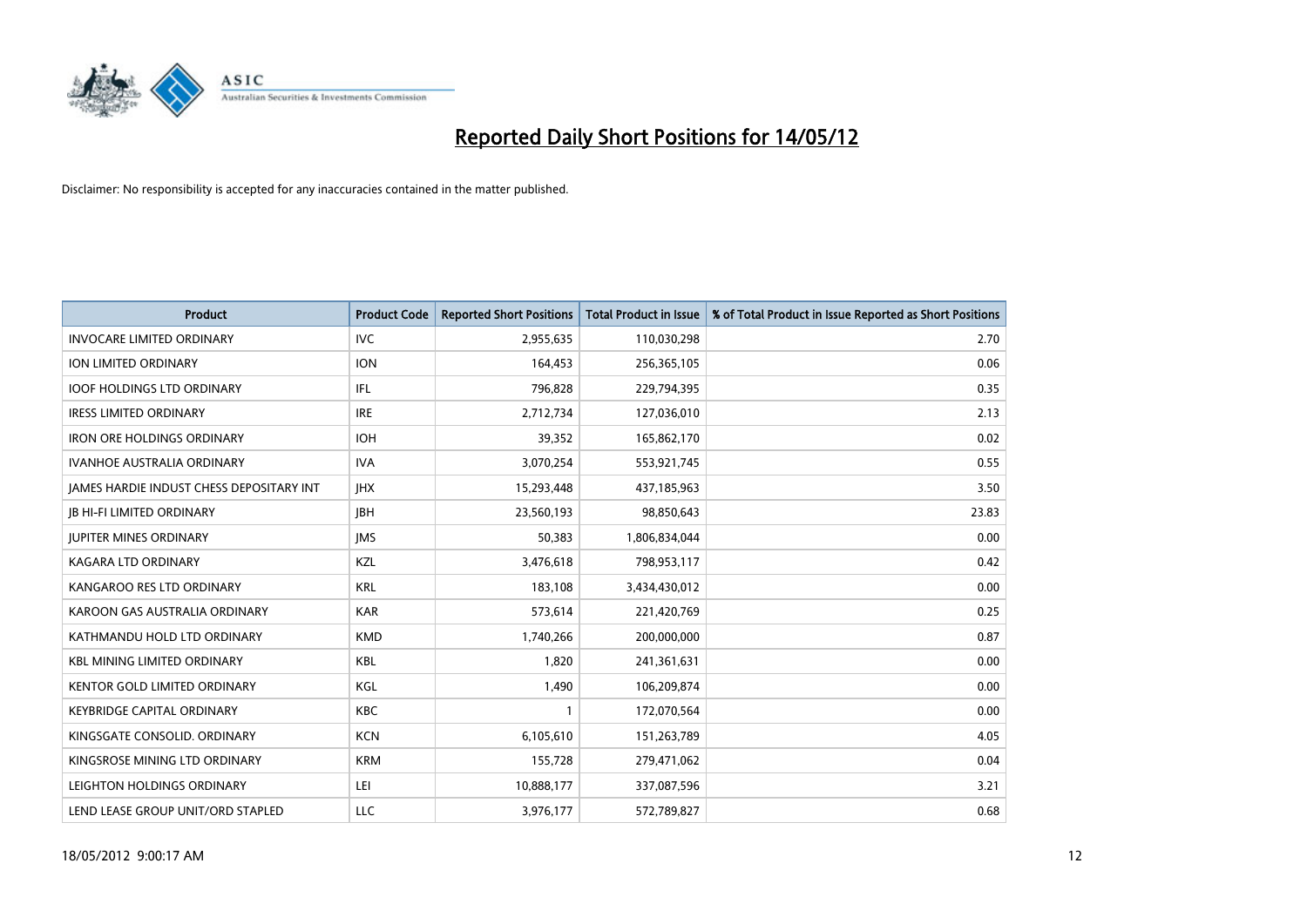

| <b>Product</b>                           | <b>Product Code</b> | <b>Reported Short Positions</b> | <b>Total Product in Issue</b> | % of Total Product in Issue Reported as Short Positions |
|------------------------------------------|---------------------|---------------------------------|-------------------------------|---------------------------------------------------------|
| <b>INVOCARE LIMITED ORDINARY</b>         | <b>IVC</b>          | 2,955,635                       | 110,030,298                   | 2.70                                                    |
| ION LIMITED ORDINARY                     | <b>ION</b>          | 164,453                         | 256,365,105                   | 0.06                                                    |
| <b>IOOF HOLDINGS LTD ORDINARY</b>        | IFL                 | 796,828                         | 229,794,395                   | 0.35                                                    |
| <b>IRESS LIMITED ORDINARY</b>            | <b>IRE</b>          | 2,712,734                       | 127,036,010                   | 2.13                                                    |
| <b>IRON ORE HOLDINGS ORDINARY</b>        | <b>IOH</b>          | 39,352                          | 165,862,170                   | 0.02                                                    |
| <b>IVANHOE AUSTRALIA ORDINARY</b>        | <b>IVA</b>          | 3,070,254                       | 553,921,745                   | 0.55                                                    |
| JAMES HARDIE INDUST CHESS DEPOSITARY INT | <b>IHX</b>          | 15,293,448                      | 437,185,963                   | 3.50                                                    |
| <b>JB HI-FI LIMITED ORDINARY</b>         | <b>IBH</b>          | 23,560,193                      | 98,850,643                    | 23.83                                                   |
| <b>JUPITER MINES ORDINARY</b>            | <b>IMS</b>          | 50,383                          | 1,806,834,044                 | 0.00                                                    |
| <b>KAGARA LTD ORDINARY</b>               | KZL                 | 3,476,618                       | 798,953,117                   | 0.42                                                    |
| KANGAROO RES LTD ORDINARY                | <b>KRL</b>          | 183,108                         | 3,434,430,012                 | 0.00                                                    |
| KAROON GAS AUSTRALIA ORDINARY            | <b>KAR</b>          | 573,614                         | 221,420,769                   | 0.25                                                    |
| KATHMANDU HOLD LTD ORDINARY              | <b>KMD</b>          | 1,740,266                       | 200,000,000                   | 0.87                                                    |
| <b>KBL MINING LIMITED ORDINARY</b>       | <b>KBL</b>          | 1,820                           | 241,361,631                   | 0.00                                                    |
| <b>KENTOR GOLD LIMITED ORDINARY</b>      | KGL                 | 1,490                           | 106,209,874                   | 0.00                                                    |
| <b>KEYBRIDGE CAPITAL ORDINARY</b>        | KBC                 |                                 | 172,070,564                   | 0.00                                                    |
| KINGSGATE CONSOLID. ORDINARY             | <b>KCN</b>          | 6,105,610                       | 151,263,789                   | 4.05                                                    |
| KINGSROSE MINING LTD ORDINARY            | <b>KRM</b>          | 155,728                         | 279,471,062                   | 0.04                                                    |
| LEIGHTON HOLDINGS ORDINARY               | LEI                 | 10,888,177                      | 337,087,596                   | 3.21                                                    |
| LEND LEASE GROUP UNIT/ORD STAPLED        | <b>LLC</b>          | 3,976,177                       | 572,789,827                   | 0.68                                                    |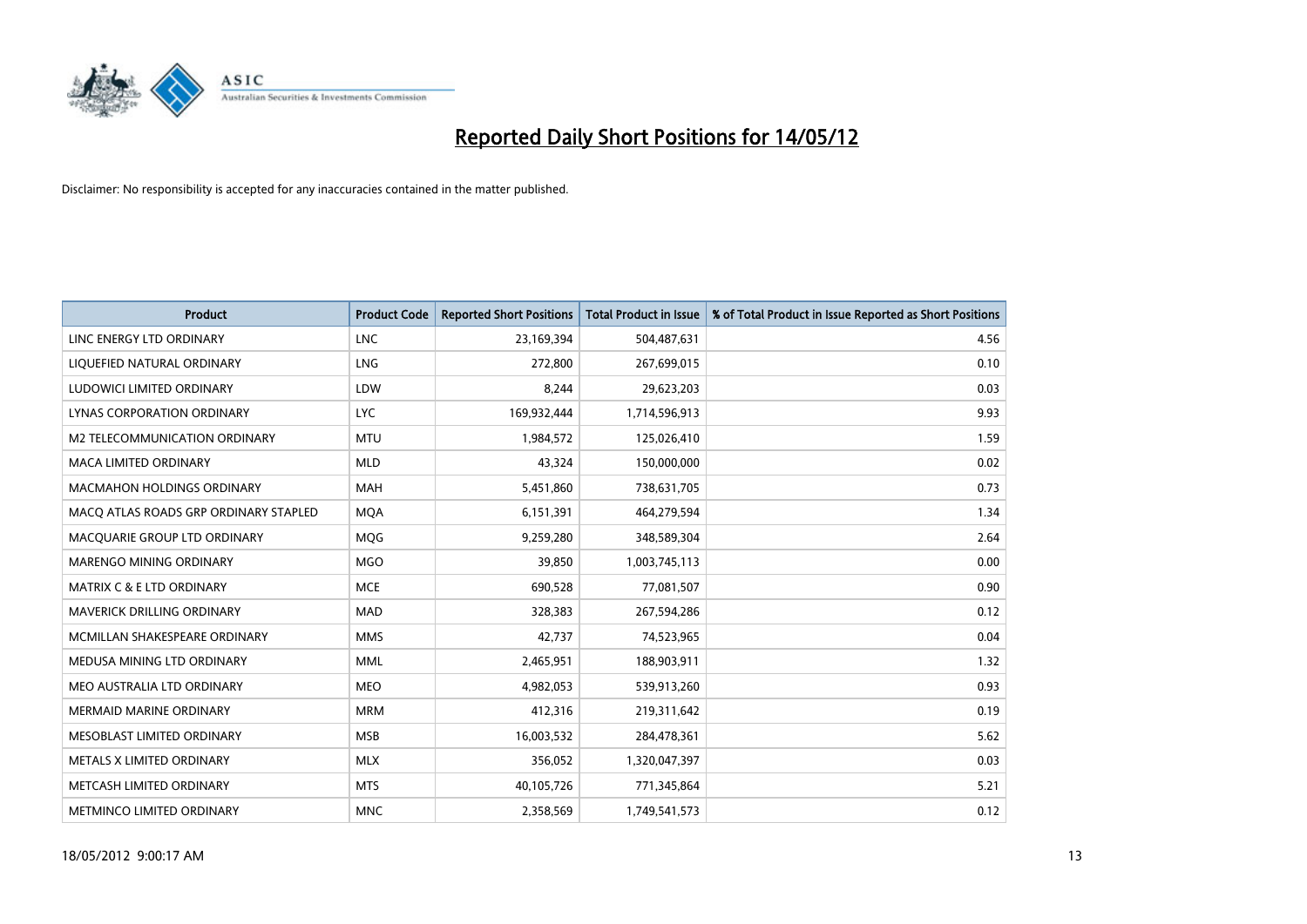

| <b>Product</b>                        | <b>Product Code</b> | <b>Reported Short Positions</b> | <b>Total Product in Issue</b> | % of Total Product in Issue Reported as Short Positions |
|---------------------------------------|---------------------|---------------------------------|-------------------------------|---------------------------------------------------------|
| LINC ENERGY LTD ORDINARY              | <b>LNC</b>          | 23,169,394                      | 504,487,631                   | 4.56                                                    |
| LIQUEFIED NATURAL ORDINARY            | <b>LNG</b>          | 272,800                         | 267,699,015                   | 0.10                                                    |
| LUDOWICI LIMITED ORDINARY             | LDW                 | 8,244                           | 29,623,203                    | 0.03                                                    |
| LYNAS CORPORATION ORDINARY            | <b>LYC</b>          | 169,932,444                     | 1,714,596,913                 | 9.93                                                    |
| <b>M2 TELECOMMUNICATION ORDINARY</b>  | <b>MTU</b>          | 1,984,572                       | 125,026,410                   | 1.59                                                    |
| <b>MACA LIMITED ORDINARY</b>          | <b>MLD</b>          | 43,324                          | 150,000,000                   | 0.02                                                    |
| <b>MACMAHON HOLDINGS ORDINARY</b>     | MAH                 | 5,451,860                       | 738,631,705                   | 0.73                                                    |
| MACO ATLAS ROADS GRP ORDINARY STAPLED | <b>MQA</b>          | 6,151,391                       | 464,279,594                   | 1.34                                                    |
| MACQUARIE GROUP LTD ORDINARY          | MQG                 | 9,259,280                       | 348,589,304                   | 2.64                                                    |
| MARENGO MINING ORDINARY               | <b>MGO</b>          | 39,850                          | 1,003,745,113                 | 0.00                                                    |
| <b>MATRIX C &amp; E LTD ORDINARY</b>  | <b>MCE</b>          | 690,528                         | 77,081,507                    | 0.90                                                    |
| <b>MAVERICK DRILLING ORDINARY</b>     | <b>MAD</b>          | 328,383                         | 267,594,286                   | 0.12                                                    |
| MCMILLAN SHAKESPEARE ORDINARY         | <b>MMS</b>          | 42,737                          | 74,523,965                    | 0.04                                                    |
| MEDUSA MINING LTD ORDINARY            | <b>MML</b>          | 2,465,951                       | 188,903,911                   | 1.32                                                    |
| MEO AUSTRALIA LTD ORDINARY            | <b>MEO</b>          | 4,982,053                       | 539,913,260                   | 0.93                                                    |
| MERMAID MARINE ORDINARY               | <b>MRM</b>          | 412,316                         | 219,311,642                   | 0.19                                                    |
| MESOBLAST LIMITED ORDINARY            | <b>MSB</b>          | 16,003,532                      | 284,478,361                   | 5.62                                                    |
| METALS X LIMITED ORDINARY             | <b>MLX</b>          | 356,052                         | 1,320,047,397                 | 0.03                                                    |
| METCASH LIMITED ORDINARY              | <b>MTS</b>          | 40,105,726                      | 771,345,864                   | 5.21                                                    |
| METMINCO LIMITED ORDINARY             | <b>MNC</b>          | 2,358,569                       | 1,749,541,573                 | 0.12                                                    |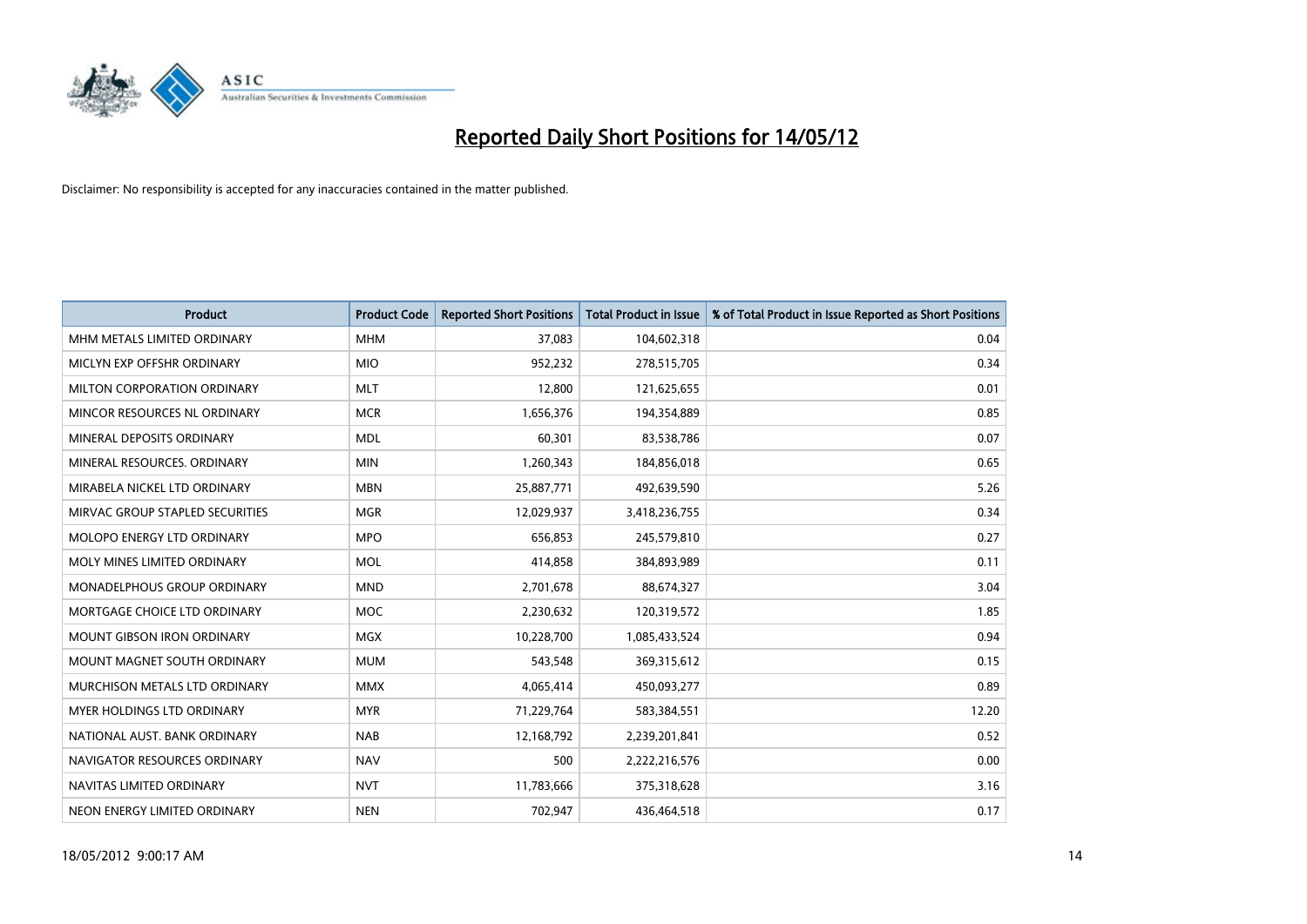

| <b>Product</b>                    | <b>Product Code</b> | <b>Reported Short Positions</b> | <b>Total Product in Issue</b> | % of Total Product in Issue Reported as Short Positions |
|-----------------------------------|---------------------|---------------------------------|-------------------------------|---------------------------------------------------------|
| MHM METALS LIMITED ORDINARY       | <b>MHM</b>          | 37,083                          | 104,602,318                   | 0.04                                                    |
| MICLYN EXP OFFSHR ORDINARY        | <b>MIO</b>          | 952,232                         | 278,515,705                   | 0.34                                                    |
| MILTON CORPORATION ORDINARY       | <b>MLT</b>          | 12,800                          | 121,625,655                   | 0.01                                                    |
| MINCOR RESOURCES NL ORDINARY      | <b>MCR</b>          | 1,656,376                       | 194,354,889                   | 0.85                                                    |
| MINERAL DEPOSITS ORDINARY         | <b>MDL</b>          | 60,301                          | 83,538,786                    | 0.07                                                    |
| MINERAL RESOURCES. ORDINARY       | <b>MIN</b>          | 1,260,343                       | 184,856,018                   | 0.65                                                    |
| MIRABELA NICKEL LTD ORDINARY      | <b>MBN</b>          | 25,887,771                      | 492,639,590                   | 5.26                                                    |
| MIRVAC GROUP STAPLED SECURITIES   | <b>MGR</b>          | 12,029,937                      | 3,418,236,755                 | 0.34                                                    |
| MOLOPO ENERGY LTD ORDINARY        | <b>MPO</b>          | 656,853                         | 245,579,810                   | 0.27                                                    |
| MOLY MINES LIMITED ORDINARY       | <b>MOL</b>          | 414,858                         | 384,893,989                   | 0.11                                                    |
| MONADELPHOUS GROUP ORDINARY       | <b>MND</b>          | 2,701,678                       | 88,674,327                    | 3.04                                                    |
| MORTGAGE CHOICE LTD ORDINARY      | MOC                 | 2,230,632                       | 120,319,572                   | 1.85                                                    |
| <b>MOUNT GIBSON IRON ORDINARY</b> | <b>MGX</b>          | 10,228,700                      | 1,085,433,524                 | 0.94                                                    |
| MOUNT MAGNET SOUTH ORDINARY       | <b>MUM</b>          | 543,548                         | 369,315,612                   | 0.15                                                    |
| MURCHISON METALS LTD ORDINARY     | <b>MMX</b>          | 4,065,414                       | 450,093,277                   | 0.89                                                    |
| MYER HOLDINGS LTD ORDINARY        | <b>MYR</b>          | 71,229,764                      | 583,384,551                   | 12.20                                                   |
| NATIONAL AUST, BANK ORDINARY      | <b>NAB</b>          | 12,168,792                      | 2,239,201,841                 | 0.52                                                    |
| NAVIGATOR RESOURCES ORDINARY      | <b>NAV</b>          | 500                             | 2,222,216,576                 | 0.00                                                    |
| NAVITAS LIMITED ORDINARY          | <b>NVT</b>          | 11,783,666                      | 375,318,628                   | 3.16                                                    |
| NEON ENERGY LIMITED ORDINARY      | <b>NEN</b>          | 702,947                         | 436,464,518                   | 0.17                                                    |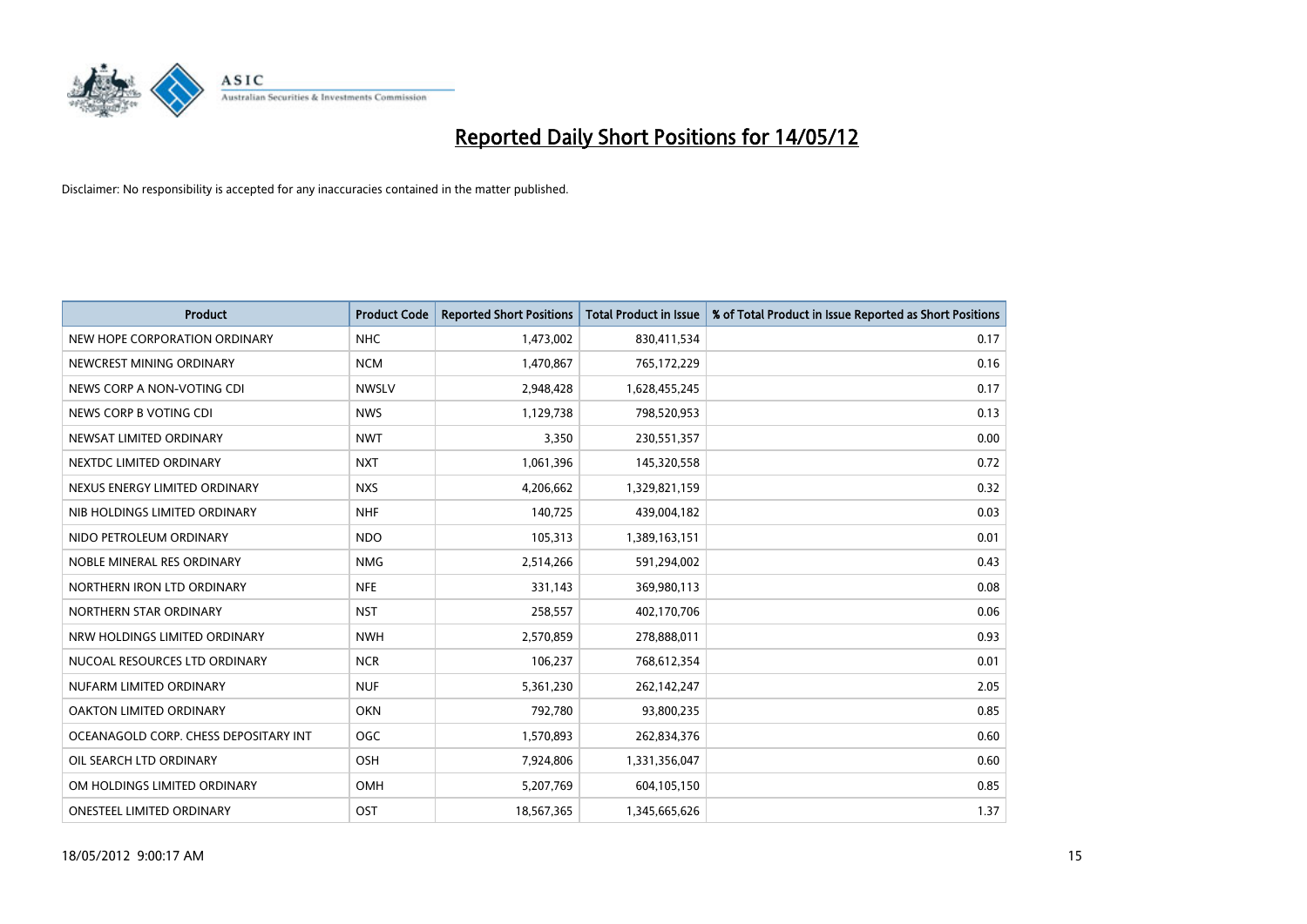

| <b>Product</b>                        | <b>Product Code</b> | <b>Reported Short Positions</b> | <b>Total Product in Issue</b> | % of Total Product in Issue Reported as Short Positions |
|---------------------------------------|---------------------|---------------------------------|-------------------------------|---------------------------------------------------------|
| NEW HOPE CORPORATION ORDINARY         | <b>NHC</b>          | 1,473,002                       | 830,411,534                   | 0.17                                                    |
| NEWCREST MINING ORDINARY              | <b>NCM</b>          | 1,470,867                       | 765,172,229                   | 0.16                                                    |
| NEWS CORP A NON-VOTING CDI            | <b>NWSLV</b>        | 2,948,428                       | 1,628,455,245                 | 0.17                                                    |
| NEWS CORP B VOTING CDI                | <b>NWS</b>          | 1,129,738                       | 798,520,953                   | 0.13                                                    |
| NEWSAT LIMITED ORDINARY               | <b>NWT</b>          | 3,350                           | 230,551,357                   | 0.00                                                    |
| NEXTDC LIMITED ORDINARY               | <b>NXT</b>          | 1,061,396                       | 145,320,558                   | 0.72                                                    |
| NEXUS ENERGY LIMITED ORDINARY         | <b>NXS</b>          | 4,206,662                       | 1,329,821,159                 | 0.32                                                    |
| NIB HOLDINGS LIMITED ORDINARY         | <b>NHF</b>          | 140,725                         | 439,004,182                   | 0.03                                                    |
| NIDO PETROLEUM ORDINARY               | <b>NDO</b>          | 105,313                         | 1,389,163,151                 | 0.01                                                    |
| NOBLE MINERAL RES ORDINARY            | <b>NMG</b>          | 2,514,266                       | 591,294,002                   | 0.43                                                    |
| NORTHERN IRON LTD ORDINARY            | <b>NFE</b>          | 331,143                         | 369,980,113                   | 0.08                                                    |
| NORTHERN STAR ORDINARY                | <b>NST</b>          | 258,557                         | 402,170,706                   | 0.06                                                    |
| NRW HOLDINGS LIMITED ORDINARY         | <b>NWH</b>          | 2,570,859                       | 278,888,011                   | 0.93                                                    |
| NUCOAL RESOURCES LTD ORDINARY         | <b>NCR</b>          | 106,237                         | 768,612,354                   | 0.01                                                    |
| NUFARM LIMITED ORDINARY               | <b>NUF</b>          | 5,361,230                       | 262,142,247                   | 2.05                                                    |
| OAKTON LIMITED ORDINARY               | <b>OKN</b>          | 792,780                         | 93,800,235                    | 0.85                                                    |
| OCEANAGOLD CORP. CHESS DEPOSITARY INT | <b>OGC</b>          | 1,570,893                       | 262,834,376                   | 0.60                                                    |
| OIL SEARCH LTD ORDINARY               | OSH                 | 7,924,806                       | 1,331,356,047                 | 0.60                                                    |
| OM HOLDINGS LIMITED ORDINARY          | OMH                 | 5,207,769                       | 604,105,150                   | 0.85                                                    |
| ONESTEEL LIMITED ORDINARY             | OST                 | 18,567,365                      | 1,345,665,626                 | 1.37                                                    |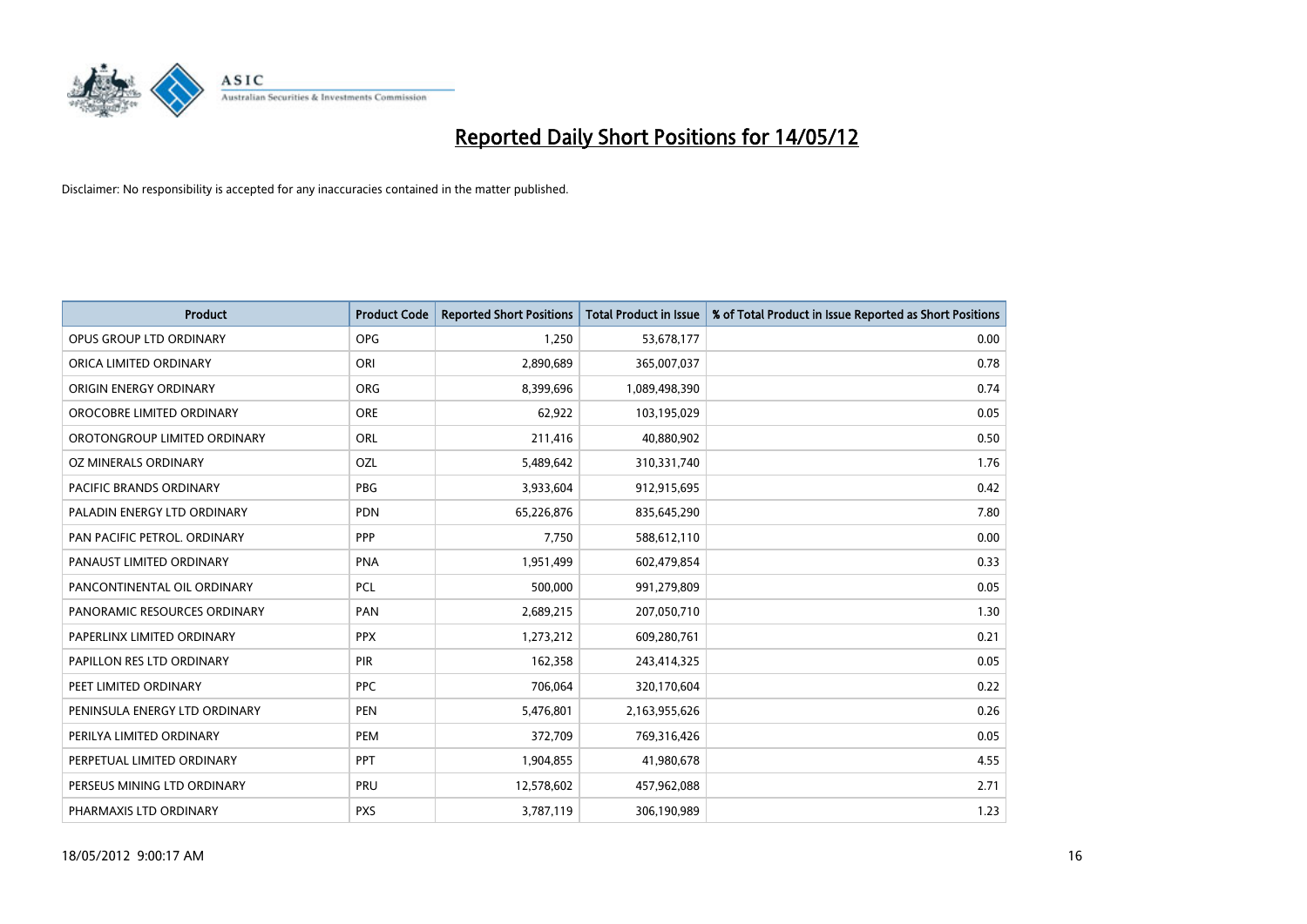

| Product                        | <b>Product Code</b> | <b>Reported Short Positions</b> | <b>Total Product in Issue</b> | % of Total Product in Issue Reported as Short Positions |
|--------------------------------|---------------------|---------------------------------|-------------------------------|---------------------------------------------------------|
| OPUS GROUP LTD ORDINARY        | <b>OPG</b>          | 1,250                           | 53,678,177                    | 0.00                                                    |
| ORICA LIMITED ORDINARY         | ORI                 | 2,890,689                       | 365,007,037                   | 0.78                                                    |
| ORIGIN ENERGY ORDINARY         | <b>ORG</b>          | 8,399,696                       | 1,089,498,390                 | 0.74                                                    |
| OROCOBRE LIMITED ORDINARY      | <b>ORE</b>          | 62,922                          | 103,195,029                   | 0.05                                                    |
| OROTONGROUP LIMITED ORDINARY   | ORL                 | 211,416                         | 40,880,902                    | 0.50                                                    |
| OZ MINERALS ORDINARY           | OZL                 | 5,489,642                       | 310,331,740                   | 1.76                                                    |
| <b>PACIFIC BRANDS ORDINARY</b> | <b>PBG</b>          | 3,933,604                       | 912,915,695                   | 0.42                                                    |
| PALADIN ENERGY LTD ORDINARY    | <b>PDN</b>          | 65,226,876                      | 835,645,290                   | 7.80                                                    |
| PAN PACIFIC PETROL. ORDINARY   | <b>PPP</b>          | 7,750                           | 588,612,110                   | 0.00                                                    |
| PANAUST LIMITED ORDINARY       | <b>PNA</b>          | 1,951,499                       | 602,479,854                   | 0.33                                                    |
| PANCONTINENTAL OIL ORDINARY    | <b>PCL</b>          | 500,000                         | 991,279,809                   | 0.05                                                    |
| PANORAMIC RESOURCES ORDINARY   | PAN                 | 2,689,215                       | 207,050,710                   | 1.30                                                    |
| PAPERLINX LIMITED ORDINARY     | <b>PPX</b>          | 1,273,212                       | 609,280,761                   | 0.21                                                    |
| PAPILLON RES LTD ORDINARY      | PIR                 | 162,358                         | 243,414,325                   | 0.05                                                    |
| PEET LIMITED ORDINARY          | <b>PPC</b>          | 706,064                         | 320,170,604                   | 0.22                                                    |
| PENINSULA ENERGY LTD ORDINARY  | <b>PEN</b>          | 5,476,801                       | 2,163,955,626                 | 0.26                                                    |
| PERILYA LIMITED ORDINARY       | PEM                 | 372,709                         | 769,316,426                   | 0.05                                                    |
| PERPETUAL LIMITED ORDINARY     | PPT                 | 1,904,855                       | 41,980,678                    | 4.55                                                    |
| PERSEUS MINING LTD ORDINARY    | PRU                 | 12,578,602                      | 457,962,088                   | 2.71                                                    |
| PHARMAXIS LTD ORDINARY         | <b>PXS</b>          | 3,787,119                       | 306,190,989                   | 1.23                                                    |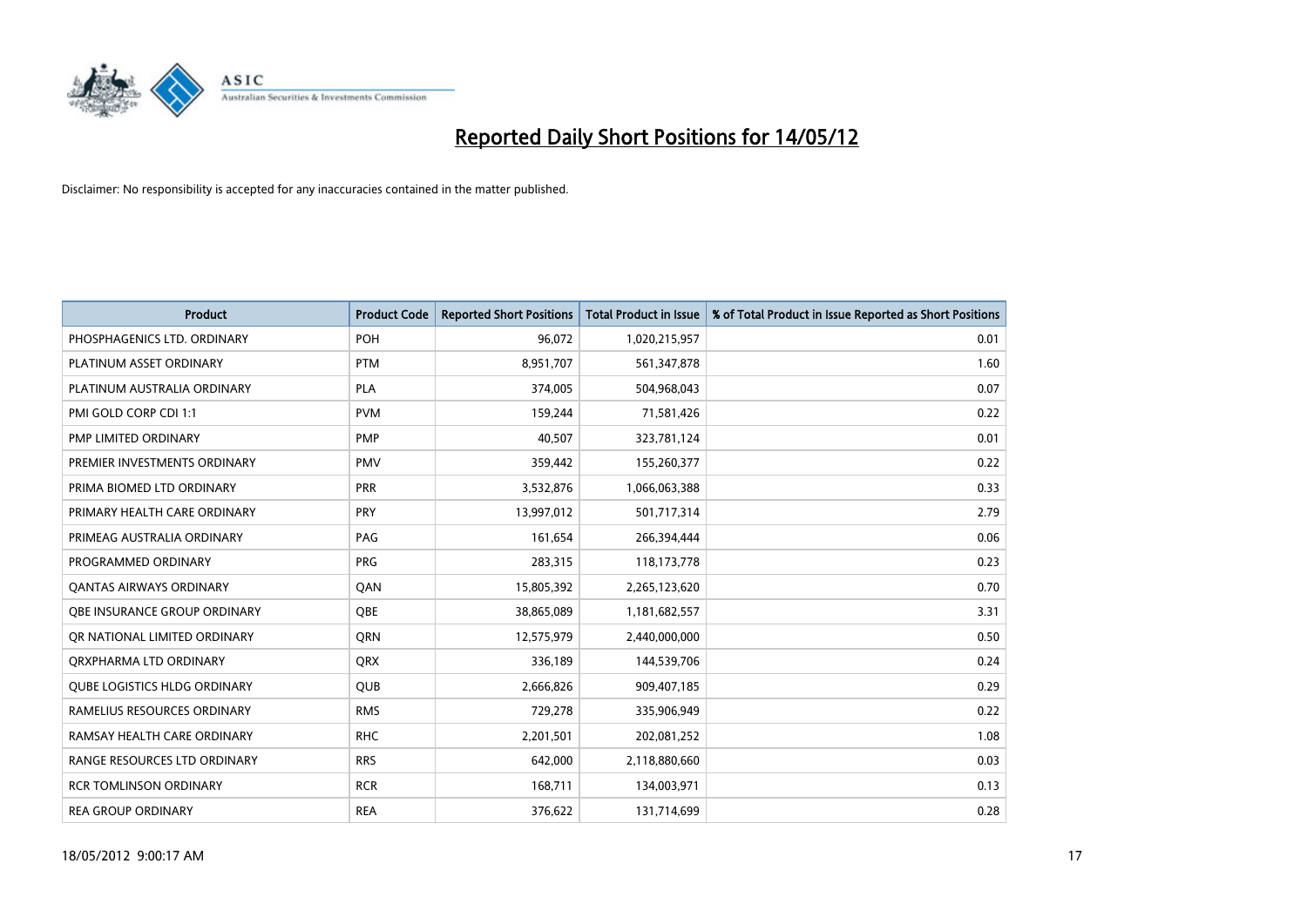

| <b>Product</b>                      | <b>Product Code</b> | <b>Reported Short Positions</b> | <b>Total Product in Issue</b> | % of Total Product in Issue Reported as Short Positions |
|-------------------------------------|---------------------|---------------------------------|-------------------------------|---------------------------------------------------------|
| PHOSPHAGENICS LTD. ORDINARY         | POH                 | 96,072                          | 1,020,215,957                 | 0.01                                                    |
| PLATINUM ASSET ORDINARY             | <b>PTM</b>          | 8,951,707                       | 561,347,878                   | 1.60                                                    |
| PLATINUM AUSTRALIA ORDINARY         | <b>PLA</b>          | 374,005                         | 504,968,043                   | 0.07                                                    |
| PMI GOLD CORP CDI 1:1               | <b>PVM</b>          | 159,244                         | 71,581,426                    | 0.22                                                    |
| PMP LIMITED ORDINARY                | <b>PMP</b>          | 40,507                          | 323,781,124                   | 0.01                                                    |
| PREMIER INVESTMENTS ORDINARY        | <b>PMV</b>          | 359,442                         | 155,260,377                   | 0.22                                                    |
| PRIMA BIOMED LTD ORDINARY           | <b>PRR</b>          | 3,532,876                       | 1,066,063,388                 | 0.33                                                    |
| PRIMARY HEALTH CARE ORDINARY        | <b>PRY</b>          | 13,997,012                      | 501,717,314                   | 2.79                                                    |
| PRIMEAG AUSTRALIA ORDINARY          | PAG                 | 161,654                         | 266,394,444                   | 0.06                                                    |
| PROGRAMMED ORDINARY                 | <b>PRG</b>          | 283,315                         | 118,173,778                   | 0.23                                                    |
| <b>QANTAS AIRWAYS ORDINARY</b>      | QAN                 | 15,805,392                      | 2,265,123,620                 | 0.70                                                    |
| <b>OBE INSURANCE GROUP ORDINARY</b> | <b>OBE</b>          | 38,865,089                      | 1,181,682,557                 | 3.31                                                    |
| OR NATIONAL LIMITED ORDINARY        | <b>ORN</b>          | 12,575,979                      | 2,440,000,000                 | 0.50                                                    |
| ORXPHARMA LTD ORDINARY              | <b>QRX</b>          | 336,189                         | 144,539,706                   | 0.24                                                    |
| <b>QUBE LOGISTICS HLDG ORDINARY</b> | QUB                 | 2,666,826                       | 909,407,185                   | 0.29                                                    |
| RAMELIUS RESOURCES ORDINARY         | <b>RMS</b>          | 729,278                         | 335,906,949                   | 0.22                                                    |
| RAMSAY HEALTH CARE ORDINARY         | <b>RHC</b>          | 2,201,501                       | 202,081,252                   | 1.08                                                    |
| RANGE RESOURCES LTD ORDINARY        | <b>RRS</b>          | 642,000                         | 2,118,880,660                 | 0.03                                                    |
| <b>RCR TOMLINSON ORDINARY</b>       | <b>RCR</b>          | 168,711                         | 134,003,971                   | 0.13                                                    |
| <b>REA GROUP ORDINARY</b>           | <b>REA</b>          | 376,622                         | 131,714,699                   | 0.28                                                    |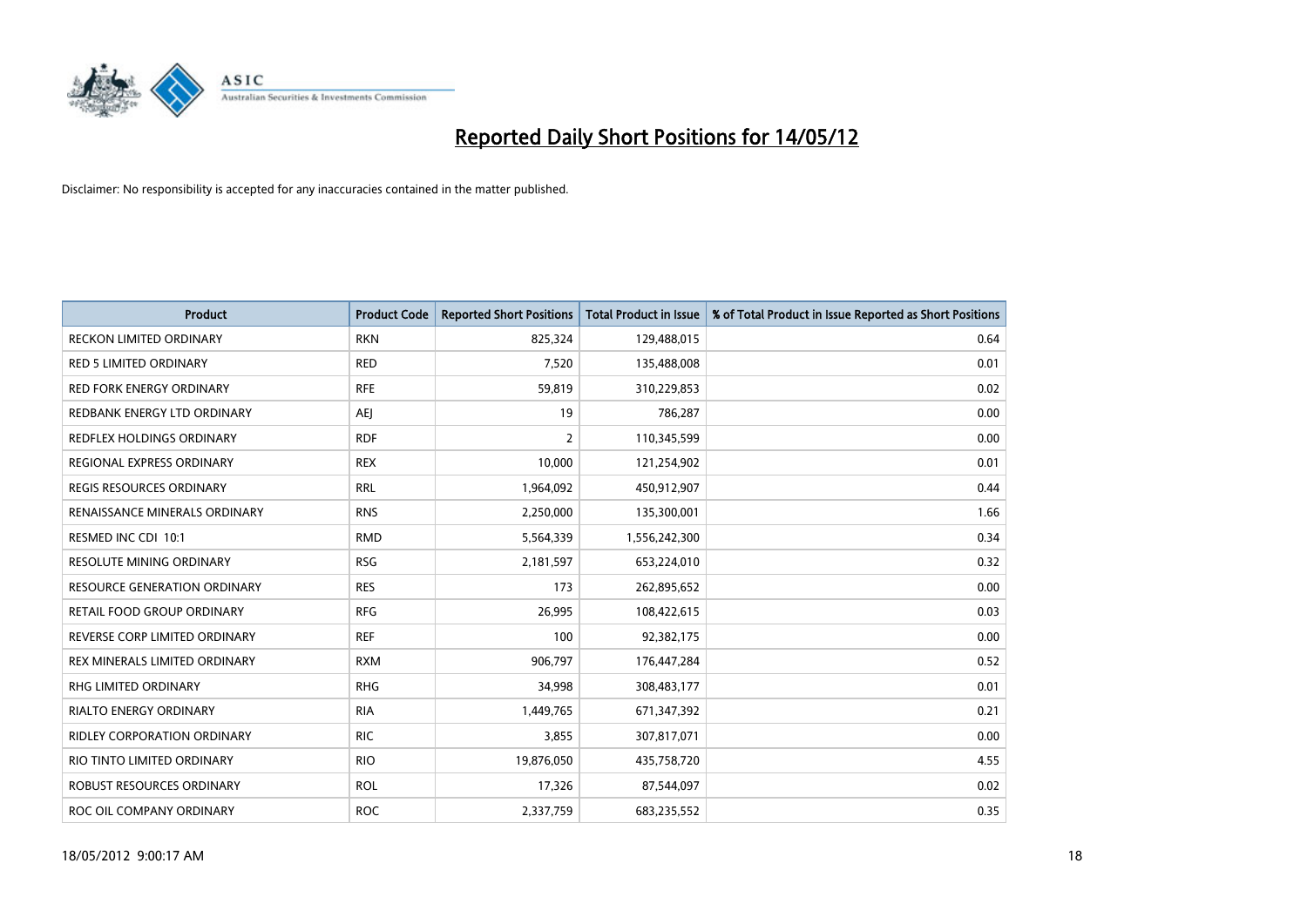

| <b>Product</b>                      | <b>Product Code</b> | <b>Reported Short Positions</b> | <b>Total Product in Issue</b> | % of Total Product in Issue Reported as Short Positions |
|-------------------------------------|---------------------|---------------------------------|-------------------------------|---------------------------------------------------------|
| <b>RECKON LIMITED ORDINARY</b>      | <b>RKN</b>          | 825,324                         | 129,488,015                   | 0.64                                                    |
| <b>RED 5 LIMITED ORDINARY</b>       | <b>RED</b>          | 7,520                           | 135,488,008                   | 0.01                                                    |
| <b>RED FORK ENERGY ORDINARY</b>     | <b>RFE</b>          | 59,819                          | 310,229,853                   | 0.02                                                    |
| REDBANK ENERGY LTD ORDINARY         | AEJ                 | 19                              | 786,287                       | 0.00                                                    |
| <b>REDFLEX HOLDINGS ORDINARY</b>    | <b>RDF</b>          | $\overline{2}$                  | 110,345,599                   | 0.00                                                    |
| REGIONAL EXPRESS ORDINARY           | <b>REX</b>          | 10,000                          | 121,254,902                   | 0.01                                                    |
| REGIS RESOURCES ORDINARY            | <b>RRL</b>          | 1,964,092                       | 450,912,907                   | 0.44                                                    |
| RENAISSANCE MINERALS ORDINARY       | <b>RNS</b>          | 2,250,000                       | 135,300,001                   | 1.66                                                    |
| RESMED INC CDI 10:1                 | <b>RMD</b>          | 5,564,339                       | 1,556,242,300                 | 0.34                                                    |
| <b>RESOLUTE MINING ORDINARY</b>     | <b>RSG</b>          | 2,181,597                       | 653,224,010                   | 0.32                                                    |
| <b>RESOURCE GENERATION ORDINARY</b> | <b>RES</b>          | 173                             | 262,895,652                   | 0.00                                                    |
| RETAIL FOOD GROUP ORDINARY          | <b>RFG</b>          | 26,995                          | 108,422,615                   | 0.03                                                    |
| REVERSE CORP LIMITED ORDINARY       | <b>REF</b>          | 100                             | 92,382,175                    | 0.00                                                    |
| REX MINERALS LIMITED ORDINARY       | <b>RXM</b>          | 906,797                         | 176,447,284                   | 0.52                                                    |
| <b>RHG LIMITED ORDINARY</b>         | <b>RHG</b>          | 34,998                          | 308,483,177                   | 0.01                                                    |
| RIALTO ENERGY ORDINARY              | <b>RIA</b>          | 1,449,765                       | 671,347,392                   | 0.21                                                    |
| RIDLEY CORPORATION ORDINARY         | <b>RIC</b>          | 3,855                           | 307,817,071                   | 0.00                                                    |
| RIO TINTO LIMITED ORDINARY          | <b>RIO</b>          | 19,876,050                      | 435,758,720                   | 4.55                                                    |
| <b>ROBUST RESOURCES ORDINARY</b>    | <b>ROL</b>          | 17,326                          | 87,544,097                    | 0.02                                                    |
| ROC OIL COMPANY ORDINARY            | <b>ROC</b>          | 2,337,759                       | 683,235,552                   | 0.35                                                    |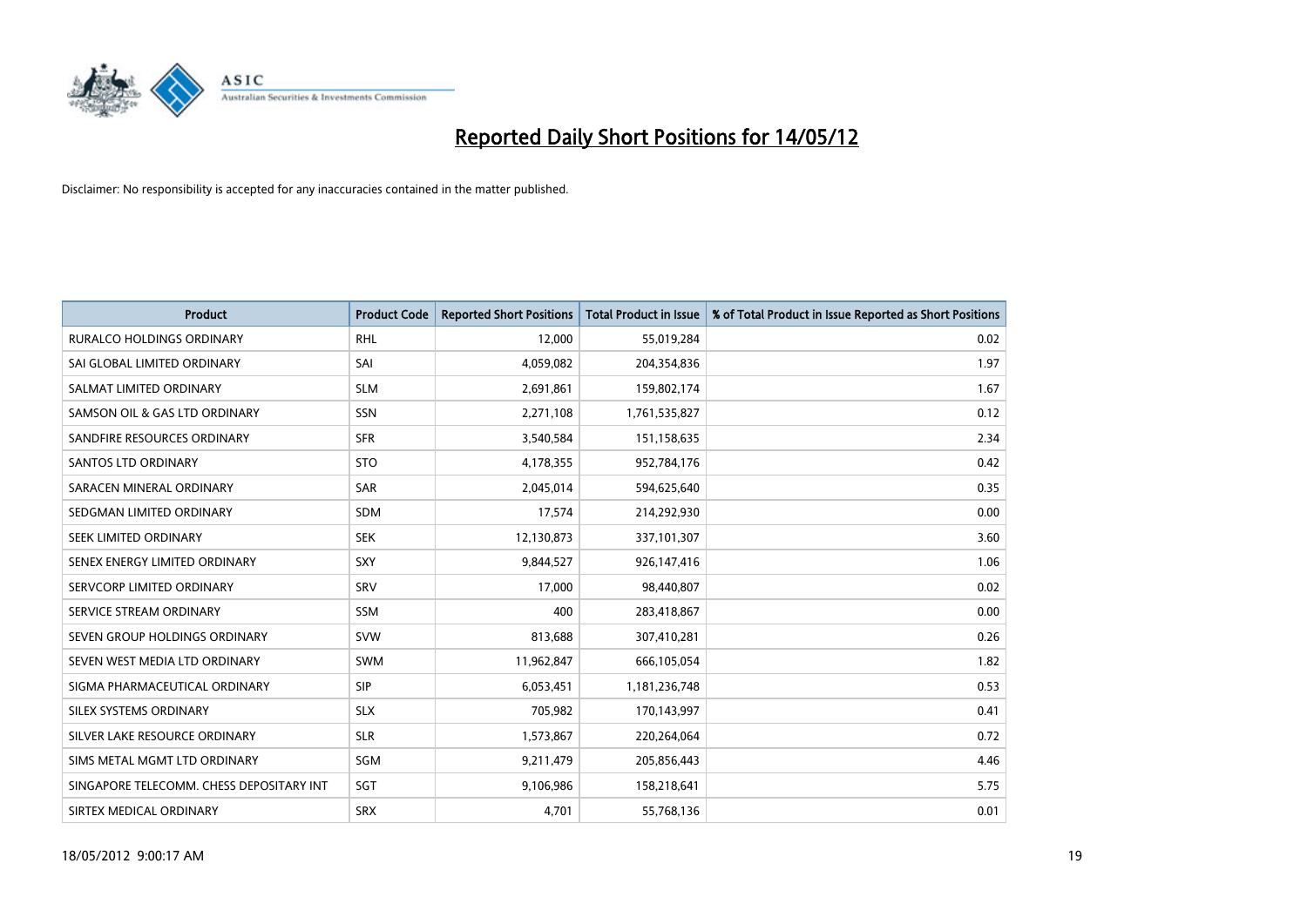

| <b>Product</b>                           | <b>Product Code</b> | <b>Reported Short Positions</b> | <b>Total Product in Issue</b> | % of Total Product in Issue Reported as Short Positions |
|------------------------------------------|---------------------|---------------------------------|-------------------------------|---------------------------------------------------------|
| <b>RURALCO HOLDINGS ORDINARY</b>         | <b>RHL</b>          | 12,000                          | 55,019,284                    | 0.02                                                    |
| SAI GLOBAL LIMITED ORDINARY              | SAI                 | 4,059,082                       | 204,354,836                   | 1.97                                                    |
| SALMAT LIMITED ORDINARY                  | <b>SLM</b>          | 2,691,861                       | 159,802,174                   | 1.67                                                    |
| SAMSON OIL & GAS LTD ORDINARY            | SSN                 | 2,271,108                       | 1,761,535,827                 | 0.12                                                    |
| SANDFIRE RESOURCES ORDINARY              | <b>SFR</b>          | 3,540,584                       | 151,158,635                   | 2.34                                                    |
| SANTOS LTD ORDINARY                      | <b>STO</b>          | 4,178,355                       | 952,784,176                   | 0.42                                                    |
| SARACEN MINERAL ORDINARY                 | SAR                 | 2,045,014                       | 594,625,640                   | 0.35                                                    |
| SEDGMAN LIMITED ORDINARY                 | SDM                 | 17,574                          | 214,292,930                   | 0.00                                                    |
| SEEK LIMITED ORDINARY                    | <b>SEK</b>          | 12,130,873                      | 337,101,307                   | 3.60                                                    |
| SENEX ENERGY LIMITED ORDINARY            | <b>SXY</b>          | 9,844,527                       | 926,147,416                   | 1.06                                                    |
| SERVCORP LIMITED ORDINARY                | SRV                 | 17,000                          | 98,440,807                    | 0.02                                                    |
| SERVICE STREAM ORDINARY                  | SSM                 | 400                             | 283,418,867                   | 0.00                                                    |
| SEVEN GROUP HOLDINGS ORDINARY            | <b>SVW</b>          | 813,688                         | 307,410,281                   | 0.26                                                    |
| SEVEN WEST MEDIA LTD ORDINARY            | <b>SWM</b>          | 11,962,847                      | 666,105,054                   | 1.82                                                    |
| SIGMA PHARMACEUTICAL ORDINARY            | <b>SIP</b>          | 6,053,451                       | 1,181,236,748                 | 0.53                                                    |
| SILEX SYSTEMS ORDINARY                   | <b>SLX</b>          | 705,982                         | 170,143,997                   | 0.41                                                    |
| SILVER LAKE RESOURCE ORDINARY            | <b>SLR</b>          | 1,573,867                       | 220,264,064                   | 0.72                                                    |
| SIMS METAL MGMT LTD ORDINARY             | SGM                 | 9,211,479                       | 205,856,443                   | 4.46                                                    |
| SINGAPORE TELECOMM. CHESS DEPOSITARY INT | SGT                 | 9,106,986                       | 158,218,641                   | 5.75                                                    |
| SIRTEX MEDICAL ORDINARY                  | <b>SRX</b>          | 4,701                           | 55,768,136                    | 0.01                                                    |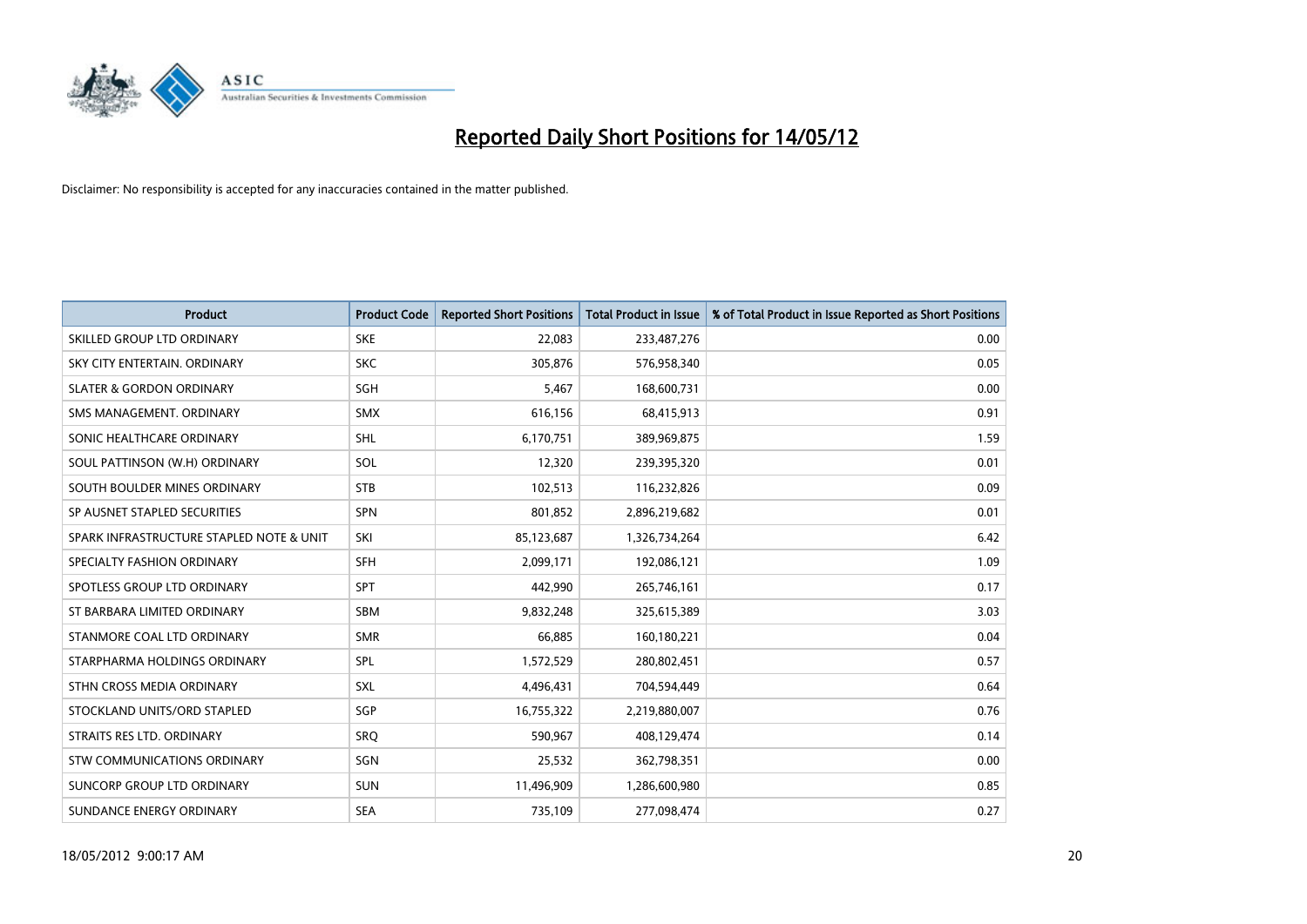

| <b>Product</b>                           | <b>Product Code</b> | <b>Reported Short Positions</b> | <b>Total Product in Issue</b> | % of Total Product in Issue Reported as Short Positions |
|------------------------------------------|---------------------|---------------------------------|-------------------------------|---------------------------------------------------------|
| SKILLED GROUP LTD ORDINARY               | <b>SKE</b>          | 22,083                          | 233,487,276                   | 0.00                                                    |
| SKY CITY ENTERTAIN. ORDINARY             | <b>SKC</b>          | 305,876                         | 576,958,340                   | 0.05                                                    |
| <b>SLATER &amp; GORDON ORDINARY</b>      | SGH                 | 5,467                           | 168,600,731                   | 0.00                                                    |
| SMS MANAGEMENT. ORDINARY                 | SMX                 | 616,156                         | 68,415,913                    | 0.91                                                    |
| SONIC HEALTHCARE ORDINARY                | SHL                 | 6,170,751                       | 389,969,875                   | 1.59                                                    |
| SOUL PATTINSON (W.H) ORDINARY            | SOL                 | 12,320                          | 239,395,320                   | 0.01                                                    |
| SOUTH BOULDER MINES ORDINARY             | <b>STB</b>          | 102,513                         | 116,232,826                   | 0.09                                                    |
| SP AUSNET STAPLED SECURITIES             | SPN                 | 801,852                         | 2,896,219,682                 | 0.01                                                    |
| SPARK INFRASTRUCTURE STAPLED NOTE & UNIT | SKI                 | 85,123,687                      | 1,326,734,264                 | 6.42                                                    |
| SPECIALTY FASHION ORDINARY               | SFH                 | 2,099,171                       | 192,086,121                   | 1.09                                                    |
| SPOTLESS GROUP LTD ORDINARY              | <b>SPT</b>          | 442,990                         | 265,746,161                   | 0.17                                                    |
| ST BARBARA LIMITED ORDINARY              | <b>SBM</b>          | 9,832,248                       | 325,615,389                   | 3.03                                                    |
| STANMORE COAL LTD ORDINARY               | <b>SMR</b>          | 66,885                          | 160,180,221                   | 0.04                                                    |
| STARPHARMA HOLDINGS ORDINARY             | SPL                 | 1,572,529                       | 280,802,451                   | 0.57                                                    |
| STHN CROSS MEDIA ORDINARY                | <b>SXL</b>          | 4,496,431                       | 704,594,449                   | 0.64                                                    |
| STOCKLAND UNITS/ORD STAPLED              | SGP                 | 16,755,322                      | 2,219,880,007                 | 0.76                                                    |
| STRAITS RES LTD. ORDINARY                | SRQ                 | 590,967                         | 408,129,474                   | 0.14                                                    |
| STW COMMUNICATIONS ORDINARY              | <b>SGN</b>          | 25,532                          | 362,798,351                   | 0.00                                                    |
| SUNCORP GROUP LTD ORDINARY               | <b>SUN</b>          | 11,496,909                      | 1,286,600,980                 | 0.85                                                    |
| SUNDANCE ENERGY ORDINARY                 | <b>SEA</b>          | 735,109                         | 277,098,474                   | 0.27                                                    |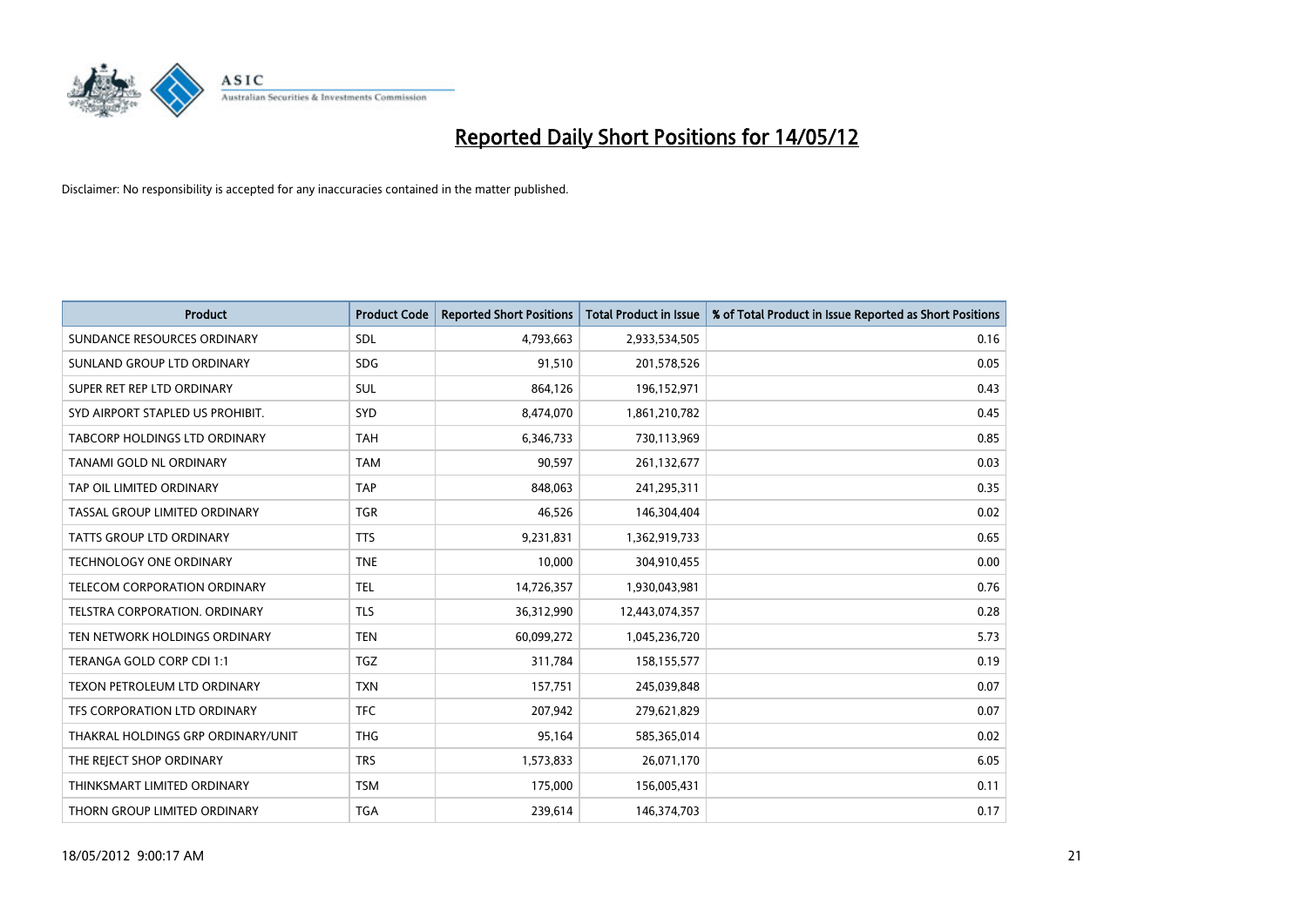

| <b>Product</b>                       | <b>Product Code</b> | <b>Reported Short Positions</b> | <b>Total Product in Issue</b> | % of Total Product in Issue Reported as Short Positions |
|--------------------------------------|---------------------|---------------------------------|-------------------------------|---------------------------------------------------------|
| SUNDANCE RESOURCES ORDINARY          | SDL                 | 4,793,663                       | 2,933,534,505                 | 0.16                                                    |
| SUNLAND GROUP LTD ORDINARY           | <b>SDG</b>          | 91,510                          | 201,578,526                   | 0.05                                                    |
| SUPER RET REP LTD ORDINARY           | <b>SUL</b>          | 864,126                         | 196,152,971                   | 0.43                                                    |
| SYD AIRPORT STAPLED US PROHIBIT.     | <b>SYD</b>          | 8,474,070                       | 1,861,210,782                 | 0.45                                                    |
| TABCORP HOLDINGS LTD ORDINARY        | <b>TAH</b>          | 6,346,733                       | 730,113,969                   | 0.85                                                    |
| TANAMI GOLD NL ORDINARY              | <b>TAM</b>          | 90,597                          | 261,132,677                   | 0.03                                                    |
| TAP OIL LIMITED ORDINARY             | <b>TAP</b>          | 848,063                         | 241,295,311                   | 0.35                                                    |
| TASSAL GROUP LIMITED ORDINARY        | <b>TGR</b>          | 46,526                          | 146,304,404                   | 0.02                                                    |
| <b>TATTS GROUP LTD ORDINARY</b>      | <b>TTS</b>          | 9,231,831                       | 1,362,919,733                 | 0.65                                                    |
| <b>TECHNOLOGY ONE ORDINARY</b>       | <b>TNE</b>          | 10,000                          | 304,910,455                   | 0.00                                                    |
| TELECOM CORPORATION ORDINARY         | <b>TEL</b>          | 14,726,357                      | 1,930,043,981                 | 0.76                                                    |
| <b>TELSTRA CORPORATION, ORDINARY</b> | <b>TLS</b>          | 36,312,990                      | 12,443,074,357                | 0.28                                                    |
| TEN NETWORK HOLDINGS ORDINARY        | <b>TEN</b>          | 60,099,272                      | 1,045,236,720                 | 5.73                                                    |
| TERANGA GOLD CORP CDI 1:1            | <b>TGZ</b>          | 311,784                         | 158,155,577                   | 0.19                                                    |
| TEXON PETROLEUM LTD ORDINARY         | <b>TXN</b>          | 157,751                         | 245,039,848                   | 0.07                                                    |
| TFS CORPORATION LTD ORDINARY         | <b>TFC</b>          | 207,942                         | 279,621,829                   | 0.07                                                    |
| THAKRAL HOLDINGS GRP ORDINARY/UNIT   | <b>THG</b>          | 95,164                          | 585,365,014                   | 0.02                                                    |
| THE REJECT SHOP ORDINARY             | <b>TRS</b>          | 1,573,833                       | 26,071,170                    | 6.05                                                    |
| THINKSMART LIMITED ORDINARY          | <b>TSM</b>          | 175,000                         | 156,005,431                   | 0.11                                                    |
| THORN GROUP LIMITED ORDINARY         | <b>TGA</b>          | 239,614                         | 146,374,703                   | 0.17                                                    |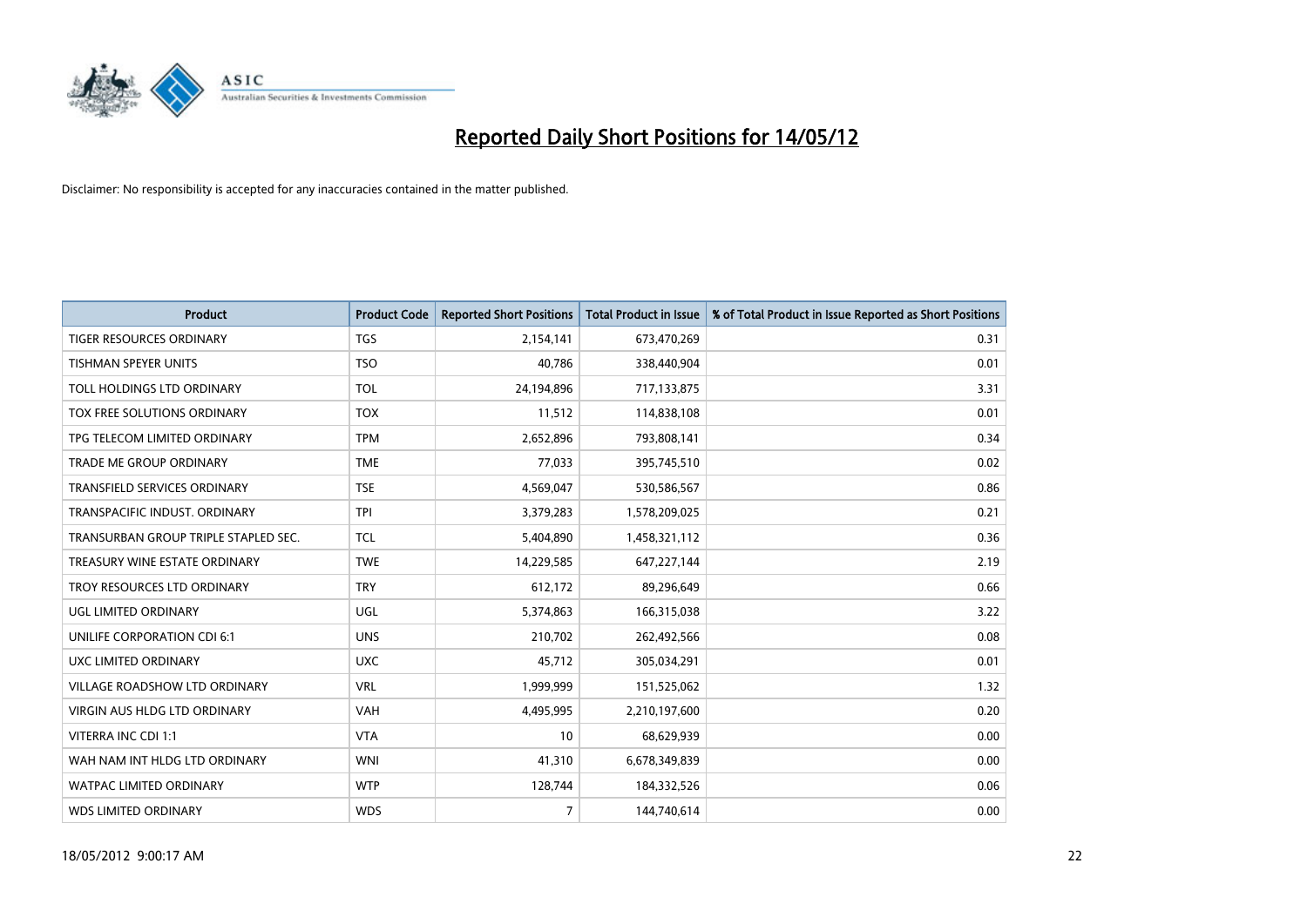

| <b>Product</b>                       | <b>Product Code</b> | <b>Reported Short Positions</b> | <b>Total Product in Issue</b> | % of Total Product in Issue Reported as Short Positions |
|--------------------------------------|---------------------|---------------------------------|-------------------------------|---------------------------------------------------------|
| <b>TIGER RESOURCES ORDINARY</b>      | <b>TGS</b>          | 2,154,141                       | 673,470,269                   | 0.31                                                    |
| <b>TISHMAN SPEYER UNITS</b>          | <b>TSO</b>          | 40,786                          | 338,440,904                   | 0.01                                                    |
| TOLL HOLDINGS LTD ORDINARY           | <b>TOL</b>          | 24,194,896                      | 717,133,875                   | 3.31                                                    |
| TOX FREE SOLUTIONS ORDINARY          | <b>TOX</b>          | 11,512                          | 114,838,108                   | 0.01                                                    |
| TPG TELECOM LIMITED ORDINARY         | <b>TPM</b>          | 2,652,896                       | 793,808,141                   | 0.34                                                    |
| TRADE ME GROUP ORDINARY              | <b>TME</b>          | 77,033                          | 395,745,510                   | 0.02                                                    |
| TRANSFIELD SERVICES ORDINARY         | <b>TSE</b>          | 4,569,047                       | 530,586,567                   | 0.86                                                    |
| TRANSPACIFIC INDUST. ORDINARY        | <b>TPI</b>          | 3,379,283                       | 1,578,209,025                 | 0.21                                                    |
| TRANSURBAN GROUP TRIPLE STAPLED SEC. | <b>TCL</b>          | 5,404,890                       | 1,458,321,112                 | 0.36                                                    |
| TREASURY WINE ESTATE ORDINARY        | <b>TWE</b>          | 14,229,585                      | 647,227,144                   | 2.19                                                    |
| TROY RESOURCES LTD ORDINARY          | <b>TRY</b>          | 612,172                         | 89,296,649                    | 0.66                                                    |
| UGL LIMITED ORDINARY                 | UGL                 | 5,374,863                       | 166,315,038                   | 3.22                                                    |
| UNILIFE CORPORATION CDI 6:1          | <b>UNS</b>          | 210,702                         | 262,492,566                   | 0.08                                                    |
| UXC LIMITED ORDINARY                 | <b>UXC</b>          | 45,712                          | 305,034,291                   | 0.01                                                    |
| VILLAGE ROADSHOW LTD ORDINARY        | <b>VRL</b>          | 1,999,999                       | 151,525,062                   | 1.32                                                    |
| <b>VIRGIN AUS HLDG LTD ORDINARY</b>  | VAH                 | 4,495,995                       | 2,210,197,600                 | 0.20                                                    |
| VITERRA INC CDI 1:1                  | <b>VTA</b>          | 10                              | 68,629,939                    | 0.00                                                    |
| WAH NAM INT HLDG LTD ORDINARY        | <b>WNI</b>          | 41,310                          | 6,678,349,839                 | 0.00                                                    |
| <b>WATPAC LIMITED ORDINARY</b>       | <b>WTP</b>          | 128,744                         | 184,332,526                   | 0.06                                                    |
| <b>WDS LIMITED ORDINARY</b>          | <b>WDS</b>          | $\overline{7}$                  | 144,740,614                   | 0.00                                                    |